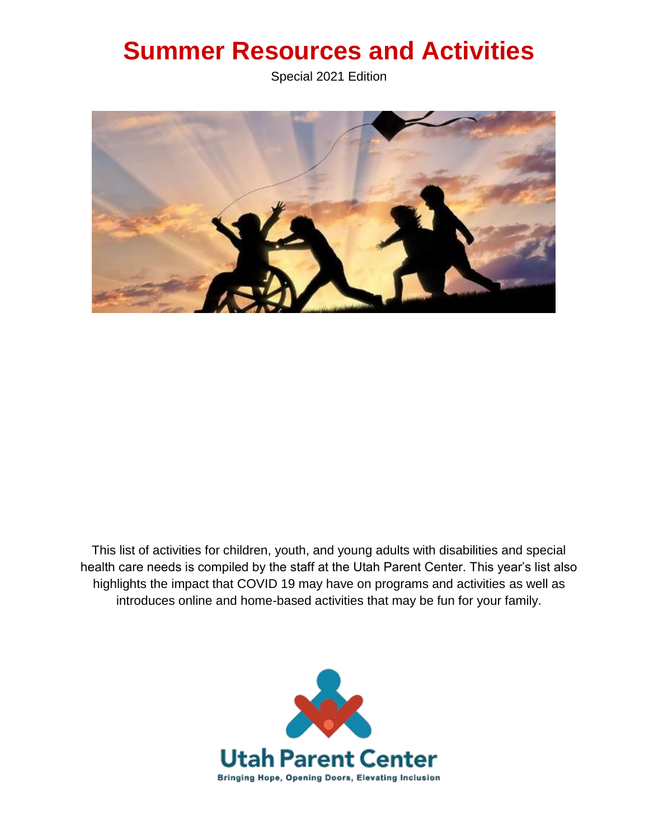# **Summer Resources and Activities**

Special 2021 Edition



This list of activities for children, youth, and young adults with disabilities and special health care needs is compiled by the staff at the Utah Parent Center. This year's list also highlights the impact that COVID 19 may have on programs and activities as well as introduces online and home-based activities that may be fun for your family.

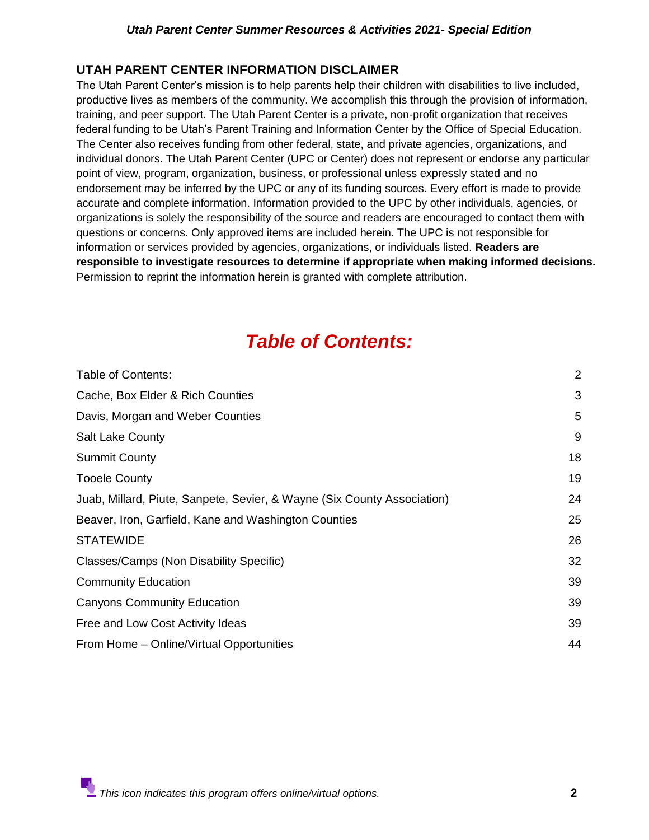## **UTAH PARENT CENTER INFORMATION DISCLAIMER**

The Utah Parent Center's mission is to help parents help their children with disabilities to live included, productive lives as members of the community. We accomplish this through the provision of information, training, and peer support. The Utah Parent Center is a private, non-profit organization that receives federal funding to be Utah's Parent Training and Information Center by the Office of Special Education. The Center also receives funding from other federal, state, and private agencies, organizations, and individual donors. The Utah Parent Center (UPC or Center) does not represent or endorse any particular point of view, program, organization, business, or professional unless expressly stated and no endorsement may be inferred by the UPC or any of its funding sources. Every effort is made to provide accurate and complete information. Information provided to the UPC by other individuals, agencies, or organizations is solely the responsibility of the source and readers are encouraged to contact them with questions or concerns. Only approved items are included herein. The UPC is not responsible for information or services provided by agencies, organizations, or individuals listed. **Readers are responsible to investigate resources to determine if appropriate when making informed decisions.** Permission to reprint the information herein is granted with complete attribution.

## *Table of Contents:*

<span id="page-1-0"></span>

| Table of Contents:                                                      | $\overline{2}$ |
|-------------------------------------------------------------------------|----------------|
| Cache, Box Elder & Rich Counties                                        | 3              |
| Davis, Morgan and Weber Counties                                        | 5              |
| <b>Salt Lake County</b>                                                 | 9              |
| <b>Summit County</b>                                                    | 18             |
| <b>Tooele County</b>                                                    | 19             |
| Juab, Millard, Piute, Sanpete, Sevier, & Wayne (Six County Association) | 24             |
| Beaver, Iron, Garfield, Kane and Washington Counties                    | 25             |
| <b>STATEWIDE</b>                                                        | 26             |
| Classes/Camps (Non Disability Specific)                                 | 32             |
| <b>Community Education</b>                                              | 39             |
| <b>Canyons Community Education</b>                                      | 39             |
| Free and Low Cost Activity Ideas                                        | 39             |
| From Home – Online/Virtual Opportunities                                | 44             |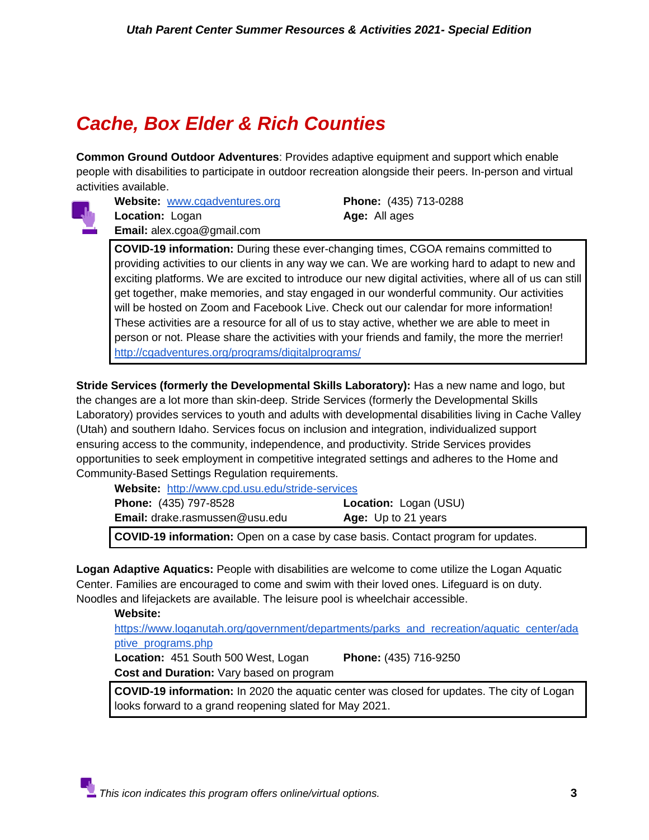## <span id="page-2-0"></span>*Cache, Box Elder & Rich Counties*

**Common Ground Outdoor Adventures**: Provides adaptive equipment and support which enable people with disabilities to participate in outdoor recreation alongside their peers. In-person and virtual activities available.



**Website:** [www.cgadventures.org](http://www.cgadventures.org/) **Phone:** (435) 713-0288 **Location:** Logan **Age:** All ages **Email:** alex.cgoa@gmail.com

**COVID-19 information:** During these ever-changing times, CGOA remains committed to providing activities to our clients in any way we can. We are working hard to adapt to new and exciting platforms. We are excited to introduce our new digital activities, where all of us can still get together, make memories, and stay engaged in our wonderful community. Our activities will be hosted on Zoom and Facebook Live. Check out our calendar for more information! These activities are a resource for all of us to stay active, whether we are able to meet in person or not. Please share the activities with your friends and family, the more the merrier! <http://cgadventures.org/programs/digitalprograms/>

**Stride Services (formerly the Developmental Skills Laboratory):** Has a new name and logo, but the changes are a lot more than skin-deep. Stride Services (formerly the Developmental Skills Laboratory) provides services to youth and adults with developmental disabilities living in Cache Valley (Utah) and southern Idaho. Services focus on inclusion and integration, individualized support ensuring access to the community, independence, and productivity. Stride Services provides opportunities to seek employment in competitive integrated settings and adheres to the Home and Community-Based Settings Regulation requirements.

| Website: http://www.cpd.usu.edu/stride-services                                         |                              |
|-----------------------------------------------------------------------------------------|------------------------------|
| <b>Phone:</b> (435) 797-8528                                                            | <b>Location: Logan (USU)</b> |
| <b>Email:</b> drake.rasmussen@usu.edu                                                   | Age: Up to 21 years          |
| <b>COVID-19 information:</b> Open on a case by case basis. Contact program for updates. |                              |

**Logan Adaptive Aquatics:** People with disabilities are welcome to come utilize the Logan Aquatic Center. Families are encouraged to come and swim with their loved ones. Lifeguard is on duty. Noodles and lifejackets are available. The leisure pool is wheelchair accessible.

**Website:** 

[https://www.loganutah.org/government/departments/parks\\_and\\_recreation/aquatic\\_center/ada](https://www.loganutah.org/government/departments/parks_and_recreation/aquatic_center/adaptive_programs.php) [ptive\\_programs.php](https://www.loganutah.org/government/departments/parks_and_recreation/aquatic_center/adaptive_programs.php)

**Location:** 451 South 500 West, Logan **Phone:** (435) 716-9250 **Cost and Duration:** Vary based on program

**COVID-19 information:** In 2020 the aquatic center was closed for updates. The city of Logan looks forward to a grand reopening slated for May 2021.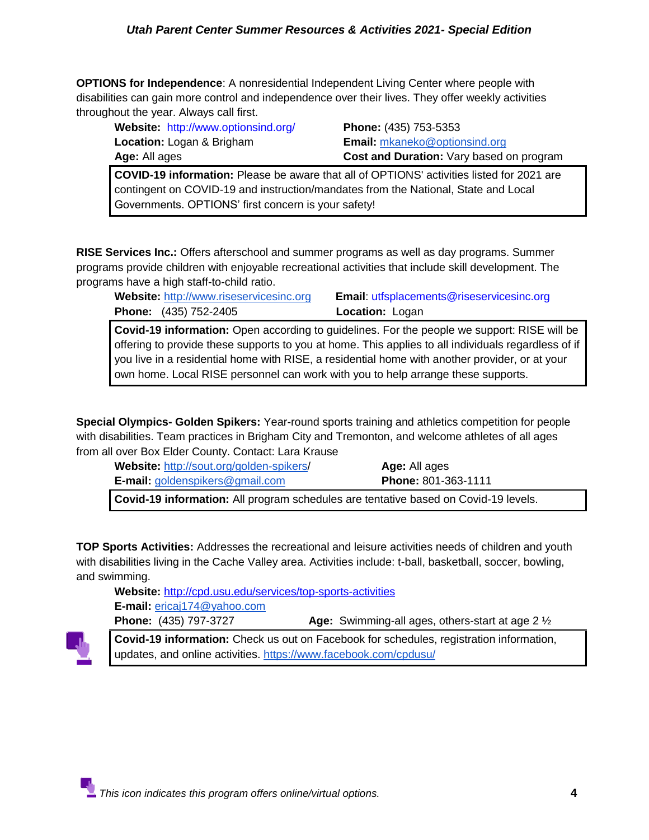**OPTIONS for Independence**: A nonresidential Independent Living Center where people with disabilities can gain more control and independence over their lives. They offer weekly activities throughout the year. Always call first.

| Website: http://www.optionsind.org/ | Phone: (435) 753-5353                           |
|-------------------------------------|-------------------------------------------------|
| <b>Location:</b> Logan & Brigham    | <b>Email:</b> mkaneko@optionsind.org            |
| <b>Age:</b> All ages                | <b>Cost and Duration: Vary based on program</b> |
|                                     |                                                 |

**COVID-19 information:** Please be aware that all of OPTIONS' activities listed for 2021 are contingent on COVID-19 and instruction/mandates from the National, State and Local Governments. OPTIONS' first concern is your safety!

**RISE Services Inc.:** Offers afterschool and summer programs as well as day programs. Summer programs provide children with enjoyable recreational activities that include skill development. The programs have a high staff-to-child ratio.

**Phone:** (435) 752-2405 **Location:** Logan

**Website:** [http://www.riseservicesinc.org](http://www.riseservicesinc.org/) **Email**: utfsplacements@riseservicesinc.org

**Covid-19 information:** Open according to guidelines. For the people we support: RISE will be offering to provide these supports to you at home. This applies to all individuals regardless of if you live in a residential home with RISE, a residential home with another provider, or at your own home. Local RISE personnel can work with you to help arrange these supports.

**Special Olympics- Golden Spikers:** Year-round sports training and athletics competition for people with disabilities. Team practices in Brigham City and Tremonton, and welcome athletes of all ages from all over Box Elder County. Contact: Lara Krause

| <b>Website: http://sout.org/golden-spikers/</b> | <b>Age:</b> All ages                                                                       |
|-------------------------------------------------|--------------------------------------------------------------------------------------------|
| <b>E-mail:</b> goldenspikers@gmail.com          | <b>Phone: 801-363-1111</b>                                                                 |
|                                                 | <b>Covid-19 information:</b> All program schedules are tentative based on Covid-19 levels. |

**TOP Sports Activities:** Addresses the recreational and leisure activities needs of children and youth with disabilities living in the Cache Valley area. Activities include: t-ball, basketball, soccer, bowling, and swimming.

**Website:** http://cpd.usu.edu/services/top-sports-activities **E-mail:** [ericaj174@yahoo.com](mailto:ericaj174@yahoo.com)

**Phone:** (435) 797-3727 **Age:** Swimming-all ages, others-start at age 2 ½



**Covid-19 information:** Check us out on Facebook for schedules, registration information, updates, and online activities.<https://www.facebook.com/cpdusu/>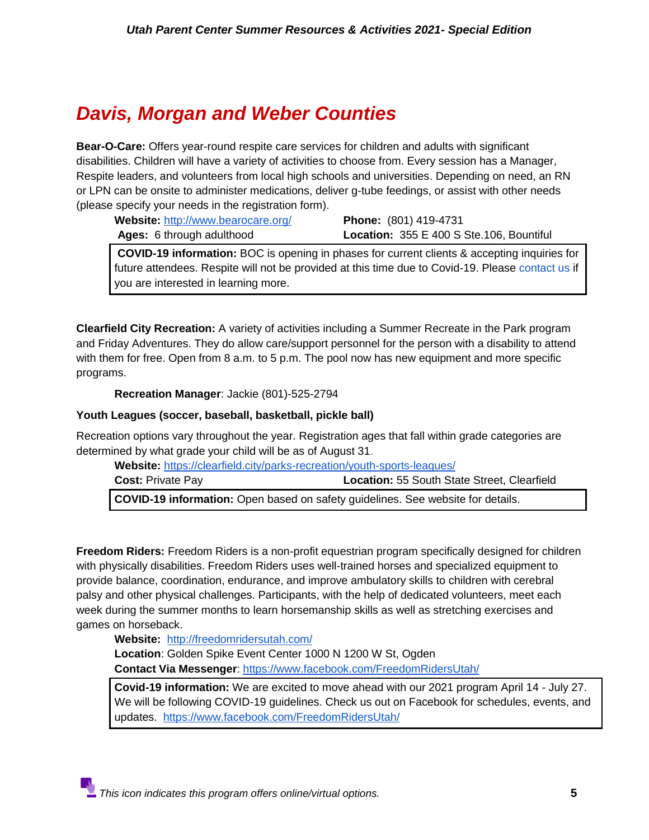## <span id="page-4-0"></span>*Davis, Morgan and Weber Counties*

**Bear-O-Care:** Offers year-round respite care services for children and adults with significant disabilities. Children will have a variety of activities to choose from. Every session has a Manager, Respite leaders, and volunteers from local high schools and universities. Depending on need, an RN or LPN can be onsite to administer medications, deliver g-tube feedings, or assist with other needs (please specify your needs in the registration form).

| Website: http://www.bearocare.org/ | <b>Phone:</b> (801) 419-4731                    |
|------------------------------------|-------------------------------------------------|
| Ages: 6 through adulthood          | <b>Location: 355 E 400 S Ste.106, Bountiful</b> |

**COVID-19 information:** BOC is opening in phases for current clients & accepting inquiries for future attendees. Respite will not be provided at this time due to Covid-19. Please [contact us](https://www.bearocare.org/contact-us) if you are interested in learning more.

**Clearfield City Recreation:** A variety of activities including a Summer Recreate in the Park program and Friday Adventures. They do allow care/support personnel for the person with a disability to attend with them for free. Open from 8 a.m. to 5 p.m. The pool now has new equipment and more specific programs.

**Recreation Manager**: Jackie (801)-525-2794

#### **Youth Leagues (soccer, baseball, basketball, pickle ball)**

Recreation options vary throughout the year. Registration ages that fall within grade categories are determined by what grade your child will be as of August 31.

**Website:** <https://clearfield.city/parks-recreation/youth-sports-leagues/>

| <b>Cost: Private Pay</b>                                                               | <b>Location: 55 South State Street, Clearfield</b> |
|----------------------------------------------------------------------------------------|----------------------------------------------------|
| <b>COVID-19 information:</b> Open based on safety guidelines. See website for details. |                                                    |

**Freedom Riders:** Freedom Riders is a non-profit equestrian program specifically designed for children with physically disabilities. Freedom Riders uses well-trained horses and specialized equipment to provide balance, coordination, endurance, and improve ambulatory skills to children with cerebral palsy and other physical challenges. Participants, with the help of dedicated volunteers, meet each week during the summer months to learn horsemanship skills as well as stretching exercises and games on horseback.

**Website:** <http://freedomridersutah.com/>

**Location**: Golden Spike Event Center 1000 N 1200 W St, Ogden **Contact Via Messenger**:<https://www.facebook.com/FreedomRidersUtah/>

**Covid-19 information:** We are excited to move ahead with our 2021 program April 14 - July 27. We will be following COVID-19 guidelines. Check us out on Facebook for schedules, events, and updates. <https://www.facebook.com/FreedomRidersUtah/>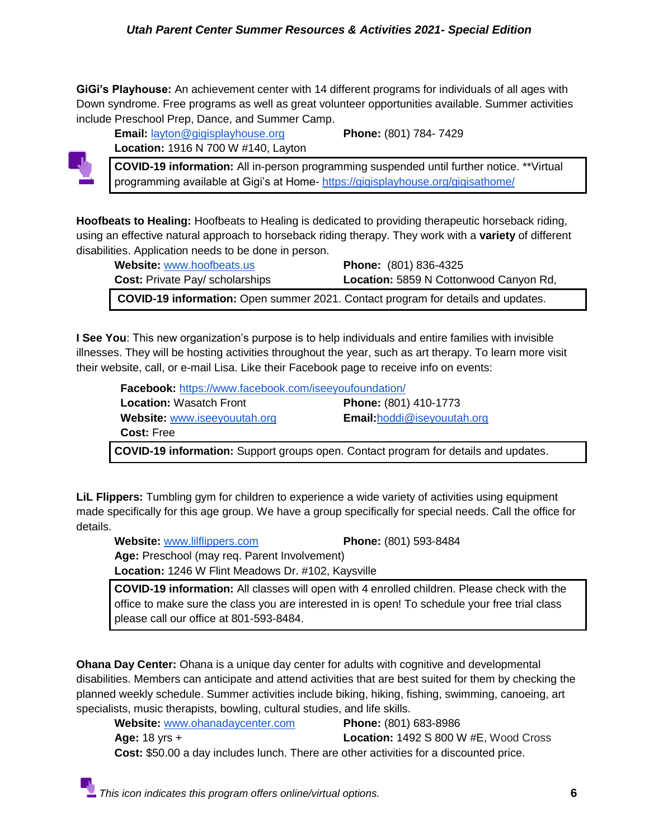**GiGi's Playhouse:** An achievement center with 14 different programs for individuals of all ages with Down syndrome. Free programs as well as great volunteer opportunities available. Summer activities include Preschool Prep, Dance, and Summer Camp.

**Location:** 1916 N 700 W #140, Layton **COVID-19 information:** All in-person programming suspended until further notice. \*\*Virtual programming available at Gigi's at Home- <https://gigisplayhouse.org/gigisathome/>

**Email:** [layton@gigisplayhouse.org](mailto:layton@gigisplayhouse.org) **Phone:** (801) 784- 7429

**Hoofbeats to Healing:** Hoofbeats to Healing is dedicated to providing therapeutic horseback riding, using an effective natural approach to horseback riding therapy. They work with a **variety** of different

| disabilities. Application needs to be done in person.                            |                                        |
|----------------------------------------------------------------------------------|----------------------------------------|
| <b>Website: www.hoofbeats.us</b>                                                 | <b>Phone:</b> (801) 836-4325           |
| <b>Cost: Private Pay/ scholarships</b>                                           | Location: 5859 N Cottonwood Canyon Rd, |
| COVID-19 information: Open summer 2021. Contact program for details and updates. |                                        |

**I See You**: This new organization's purpose is to help individuals and entire families with invisible illnesses. They will be hosting activities throughout the year, such as art therapy. To learn more visit their website, call, or e-mail Lisa. Like their Facebook page to receive info on events:

**Facebook:** <https://www.facebook.com/iseeyoufoundation/> **Location:** Wasatch Front **Phone:** (801) 410-1773  **Website:** [www.iseeyouutah.org](http://www.iseeyouutah.org/) **Email:**[hoddi@iseyouutah.org](mailto:hoddi@iseyouutah.org) **Cost:** Free **COVID-19 information:** Support groups open. Contact program for details and updates.

**LiL Flippers:** Tumbling gym for children to experience a wide variety of activities using equipment made specifically for this age group. We have a group specifically for special needs. Call the office for details.

**Website:** [www.lilflippers.com](http://www.lilflippers.com/) **Phone:** (801) 593-8484

**Age:** Preschool (may req. Parent Involvement)

**Location:** 1246 W Flint Meadows Dr. #102, Kaysville

**COVID-19 information:** All classes will open with 4 enrolled children. Please check with the office to make sure the class you are interested in is open! To schedule your free trial class please call our office at 801-593-8484.

**Ohana Day Center:** Ohana is a unique day center for adults with cognitive and developmental disabilities. Members can anticipate and attend activities that are best suited for them by checking the planned weekly schedule. Summer activities include biking, hiking, fishing, swimming, canoeing, art specialists, music therapists, bowling, cultural studies, and life skills.

**Website:** [www.ohanadaycenter.com](http://www.ohanadaycenter.com/) **Phone:** (801) 683-8986 **Age:** 18 yrs + **Location:** 1492 S 800 W #E, Wood Cross **Cost:** \$50.00 a day includes lunch. There are other activities for a discounted price.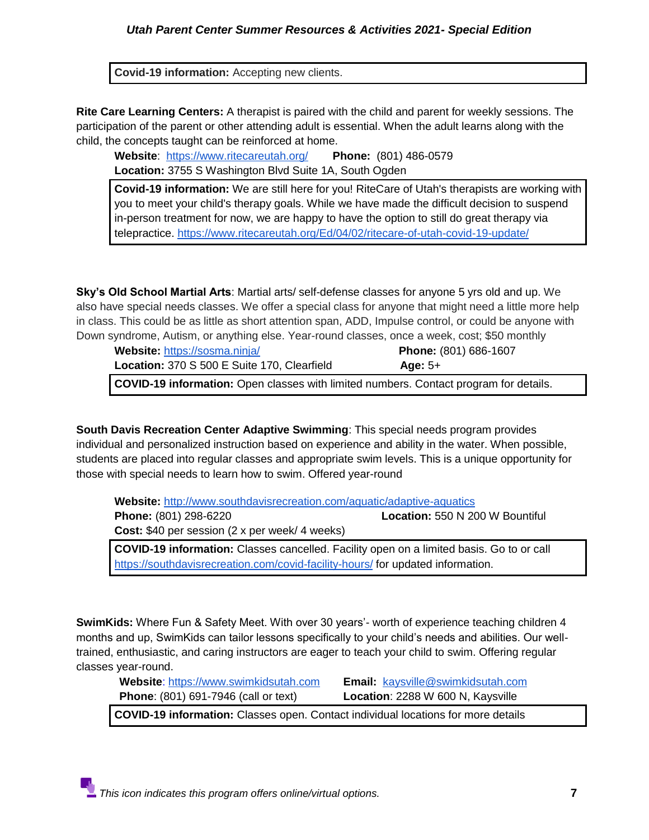**Covid-19 information:** Accepting new clients.

**Rite Care Learning Centers:** A therapist is paired with the child and parent for weekly sessions. The participation of the parent or other attending adult is essential. When the adult learns along with the child, the concepts taught can be reinforced at home.

**Website**: <https://www.ritecareutah.org/> **Phone:** (801) 486-0579 **Location:** 3755 S Washington Blvd Suite 1A, South Ogden

**Covid-19 information:** We are still here for you! RiteCare of Utah's therapists are working with you to meet your child's therapy goals. While we have made the difficult decision to suspend in-person treatment for now, we are happy to have the option to still do great therapy via telepractice. [https://www.ritecareutah.org/Ed/04/02/ritecare-of-utah-covid-19-update/](https://www.ritecareutah.org/2020/04/02/ritecare-of-utah-covid-19-update/)

**Sky's Old School Martial Arts**: Martial arts/ self-defense classes for anyone 5 yrs old and up. We also have special needs classes. We offer a special class for anyone that might need a little more help in class. This could be as little as short attention span, ADD, Impulse control, or could be anyone with Down syndrome, Autism, or anything else. Year-round classes, once a week, cost; \$50 monthly

|                                                          | <b>Phone:</b> (801) 686-1607 |
|----------------------------------------------------------|------------------------------|
| Location: 370 S 500 E Suite 170, Clearfield<br>Age: $5+$ |                              |

**COVID-19 information:** Open classes with limited numbers. Contact program for details.

**South Davis Recreation Center Adaptive Swimming**: This special needs program provides individual and personalized instruction based on experience and ability in the water. When possible, students are placed into regular classes and appropriate swim levels. This is a unique opportunity for those with special needs to learn how to swim. Offered year-round

**Website:** <http://www.southdavisrecreation.com/aquatic/adaptive-aquatics> **Phone:** (801) 298-6220 **Location:** 550 N 200 W Bountiful

**Cost:** \$40 per session (2 x per week/ 4 weeks)

**COVID-19 information:** Classes cancelled. Facility open on a limited basis. Go to or call <https://southdavisrecreation.com/covid-facility-hours/> for updated information.

**SwimKids:** Where Fun & Safety Meet. With over 30 years'- worth of experience teaching children 4 months and up, SwimKids can tailor lessons specifically to your child's needs and abilities. Our welltrained, enthusiastic, and caring instructors are eager to teach your child to swim. Offering regular classes year-round.

 **Website**: [https://www.swimkidsutah.com](https://www.swimkidsutah.com/) **Email:** [kaysville@swimkidsutah.com](mailto:kaysville@swimkidsutah.com) **Phone**: (801) 691-7946 (call or text) **Location**: 2288 W 600 N, Kaysville

**COVID-19 information:** Classes open. Contact individual locations for more details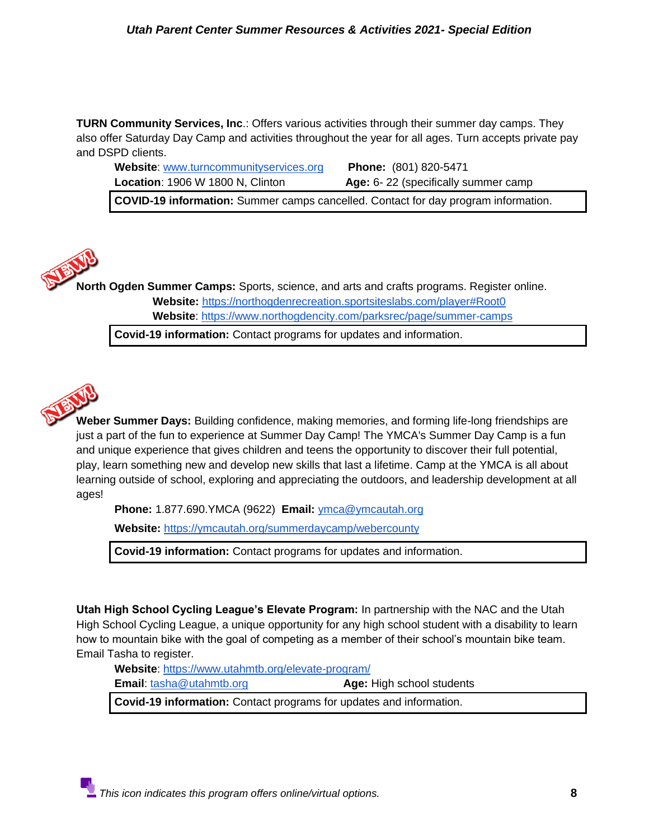**TURN Community Services, Inc**.: Offers various activities through their summer day camps. They also offer Saturday Day Camp and activities throughout the year for all ages. Turn accepts private pay and DSPD clients.

**Website**: [www.turncommunityservices.org](http://www.turncommunityservices.org/) **Phone:** (801) 820-5471 **Location**: 1906 W 1800 N, Clinton **Age:** 6-22 (specifically summer camp

**COVID-19 information:** Summer camps cancelled. Contact for day program information.

**North Ogden Summer Camps:** Sports, science, and arts and crafts programs. Register online. **Website:** <https://northogdenrecreation.sportsiteslabs.com/player#Root0> **Website**:<https://www.northogdencity.com/parksrec/page/summer-camps>

**Covid-19 information:** Contact programs for updates and information.



**Weber Summer Days:** Building confidence, making memories, and forming life-long friendships are just a part of the fun to experience at Summer Day Camp! The YMCA's Summer Day Camp is a fun and unique experience that gives children and teens the opportunity to discover their full potential, play, learn something new and develop new skills that last a lifetime. Camp at the YMCA is all about learning outside of school, exploring and appreciating the outdoors, and leadership development at all ages!

**Phone:** 1.877.690.YMCA (9622) **Email:** [ymca@ymcautah.org](mailto:ymca@ymcautah.org)

**Website:** <https://ymcautah.org/summerdaycamp/webercounty>

**Covid-19 information:** Contact programs for updates and information.

**Utah High School Cycling League's Elevate Program:** In partnership with the NAC and the Utah High School Cycling League, a unique opportunity for any high school student with a disability to learn how to mountain bike with the goal of competing as a member of their school's mountain bike team. Email Tasha to register.

**Website**:<https://www.utahmtb.org/elevate-program/>

**Email**: [tasha@utahmtb.org](mailto:tasha@utahmtb.org) **Age:** High school students

**Covid-19 information:** Contact programs for updates and information.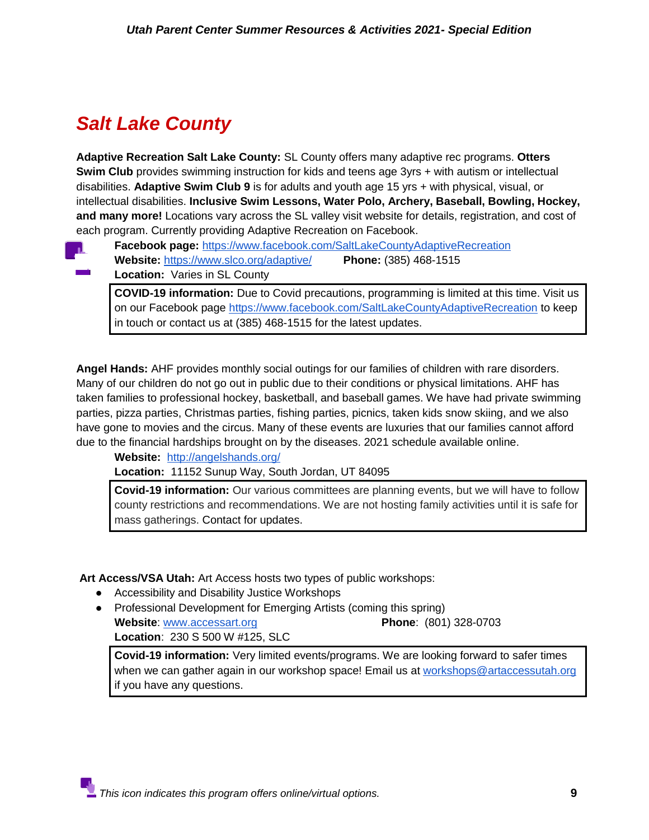## <span id="page-8-0"></span>*Salt Lake County*

**Adaptive Recreation Salt Lake County:** SL County offers many adaptive rec programs. **Otters Swim Club** provides swimming instruction for kids and teens age 3yrs + with autism or intellectual disabilities. **Adaptive Swim Club 9** is for adults and youth age 15 yrs + with physical, visual, or intellectual disabilities. **Inclusive Swim Lessons, Water Polo, Archery, Baseball, Bowling, Hockey, and many more!** Locations vary across the SL valley visit website for details, registration, and cost of each program. Currently providing Adaptive Recreation on Facebook.

- **Facebook page:** <https://www.facebook.com/SaltLakeCountyAdaptiveRecreation>
	- **Website:** <https://www.slco.org/adaptive/>**Phone:** (385) 468-1515
- **Location:** Varies in SL County

**COVID-19 information:** Due to Covid precautions, programming is limited at this time. Visit us on our Facebook page<https://www.facebook.com/SaltLakeCountyAdaptiveRecreation> to keep in touch or contact us at (385) 468-1515 for the latest updates.

**Angel Hands:** AHF provides monthly social outings for our families of children with rare disorders. Many of our children do not go out in public due to their conditions or physical limitations. AHF has taken families to professional hockey, basketball, and baseball games. We have had private swimming parties, pizza parties, Christmas parties, fishing parties, picnics, taken kids snow skiing, and we also have gone to movies and the circus. Many of these events are luxuries that our families cannot afford due to the financial hardships brought on by the diseases. 2021 schedule available online.

**Website:** <http://angelshands.org/>

**Location:** 11152 Sunup Way, South Jordan, UT 84095

**Covid-19 information:** Our various committees are planning events, but we will have to follow county restrictions and recommendations. We are not hosting family activities until it is safe for mass gatherings. Contact for updates.

**Art Access/VSA Utah:** Art Access hosts two types of public workshops:

- Accessibility and Disability Justice Workshops
- Professional Development for Emerging Artists (coming this spring) **Website**: [www.accessart.org](http://www.accessart.org/) **Phone**: (801) 328-0703 **Location**: 230 S 500 W #125, SLC

**Covid-19 information:** Very limited events/programs. We are looking forward to safer times when we can gather again in our workshop space! Email us at [workshops@artaccessutah.org](mailto:workshops@artaccessutah.org) if you have any questions.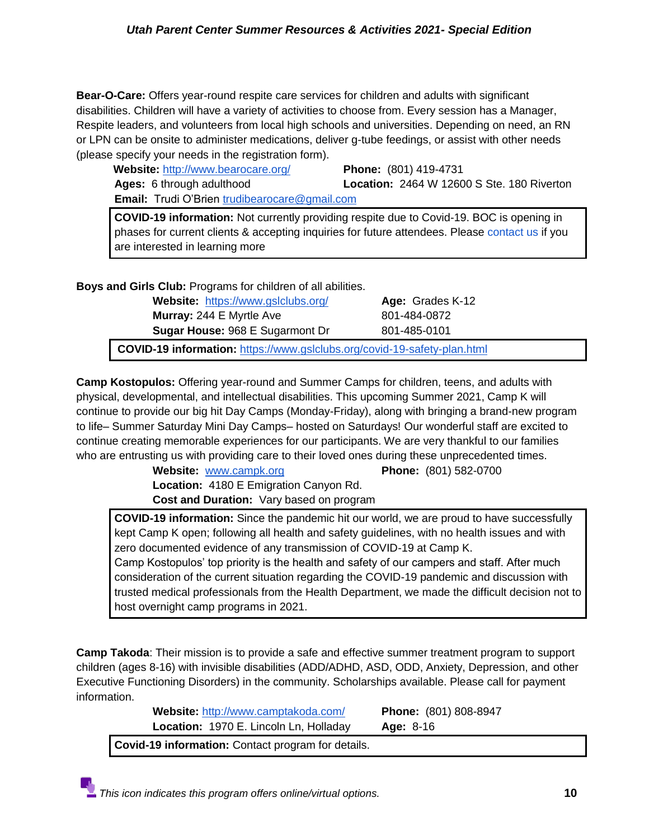**Bear-O-Care:** Offers year-round respite care services for children and adults with significant disabilities. Children will have a variety of activities to choose from. Every session has a Manager, Respite leaders, and volunteers from local high schools and universities. Depending on need, an RN or LPN can be onsite to administer medications, deliver g-tube feedings, or assist with other needs (please specify your needs in the registration form).

 **Website:** <http://www.bearocare.org/> **Phone:** (801) 419-4731

**Ages:** 6 through adulthood **Location:** 2464 W 12600 S Ste. 180 Riverton

**Email:** Trudi O'Brien [trudibearocare@gmail.com](mailto:trudibearocare@gmail.com)

**COVID-19 information:** Not currently providing respite due to Covid-19. BOC is opening in phases for current clients & accepting inquiries for future attendees. Please [contact us](https://www.bearocare.org/contact-us) if you are interested in learning more

**Boys and Girls Club:** Programs for children of all abilities.

**Website:** <https://www.gslclubs.org/> **Age:** Grades K-12 **Murray:** 244 E Myrtle Ave 801-484-0872 **Sugar House: 968 E Sugarmont Dr 801-485-0101** 

**COVID-19 information:** <https://www.gslclubs.org/covid-19-safety-plan.html>

**Camp Kostopulos:** Offering year-round and Summer Camps for children, teens, and adults with physical, developmental, and intellectual disabilities. This upcoming Summer 2021, Camp K will continue to provide our big hit Day Camps (Monday-Friday), along with bringing a brand-new program to life– Summer Saturday Mini Day Camps– hosted on Saturdays! Our wonderful staff are excited to continue creating memorable experiences for our participants. We are very thankful to our families who are entrusting us with providing care to their loved ones during these unprecedented times.

> **Website:** [www.campk.org](http://www.campk.org/) **Phone:** (801) 582-0700 **Location:** 4180 E Emigration Canyon Rd. **Cost and Duration:** Vary based on program

**COVID-19 information:** Since the pandemic hit our world, we are proud to have successfully kept Camp K open; following all health and safety guidelines, with no health issues and with zero documented evidence of any transmission of COVID-19 at Camp K. Camp Kostopulos' top priority is the health and safety of our campers and staff. After much consideration of the current situation regarding the COVID-19 pandemic and discussion with trusted medical professionals from the Health Department, we made the difficult decision not to host overnight camp programs in 2021.

**Camp Takoda**: Their mission is to provide a safe and effective summer treatment program to support children (ages 8-16) with invisible disabilities (ADD/ADHD, ASD, ODD, Anxiety, Depression, and other Executive Functioning Disorders) in the community. Scholarships available. Please call for payment information.

| Website: http://www.camptakoda.com/                | <b>Phone:</b> (801) 808-8947 |  |
|----------------------------------------------------|------------------------------|--|
| Location: 1970 E. Lincoln Ln, Holladay             | Age: $8-16$                  |  |
| Covid-19 information: Contact program for details. |                              |  |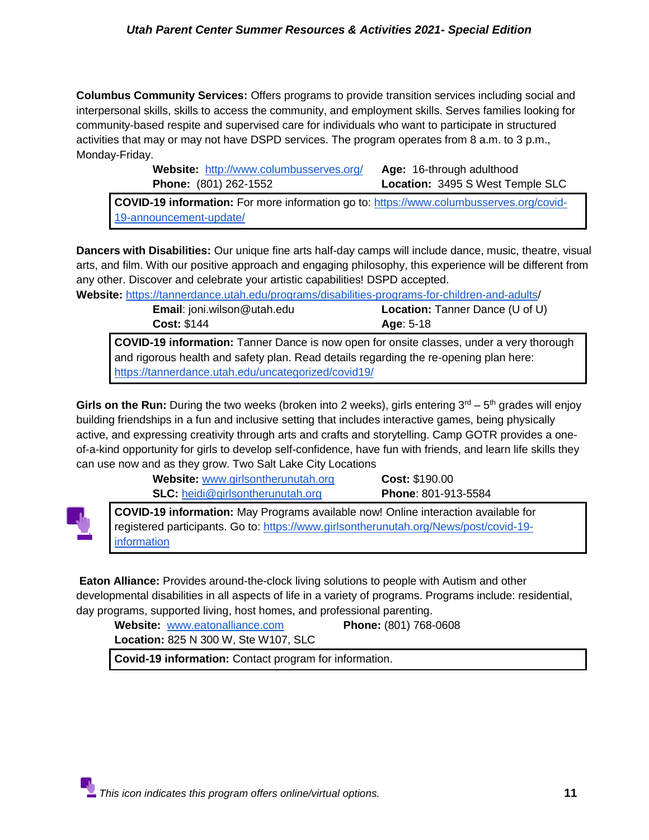**Columbus Community Services:** Offers programs to provide transition services including social and interpersonal skills, skills to access the community, and employment skills. Serves families looking for community-based respite and supervised care for individuals who want to participate in structured activities that may or may not have DSPD services. The program operates from 8 a.m. to 3 p.m., Monday-Friday.

| <b>Website:</b> http://www.columbusserves.org/ | <b>Age:</b> 16-through adulthood |
|------------------------------------------------|----------------------------------|
| <b>Phone:</b> (801) 262-1552                   | Location: 3495 S West Temple SLC |
|                                                |                                  |

**COVID-19 information:** For more information go to: [https://www.columbusserves.org/covid-](https://www.columbusserves.org/covid-19-announcement-update/)[19-announcement-update/](https://www.columbusserves.org/covid-19-announcement-update/)

**Dancers with Disabilities:** Our unique fine arts half-day camps will include dance, music, theatre, visual arts, and film. With our positive approach and engaging philosophy, this experience will be different from any other. Discover and celebrate your artistic capabilities! DSPD accepted.

**Website:** [https://tannerdance.utah.edu/programs/disabilities-programs-for-children-and-adults/](https://tannerdance.utah.edu/programs/disabilities-programs-for-children-and-adults)

 **Cost:** \$144 **Age**: 5-18

 **Email**: joni.wilson@utah.edu **Location:** Tanner Dance (U of U)

**COVID-19 information:** Tanner Dance is now open for onsite classes, under a very thorough and rigorous health and safety plan. Read details regarding the re-opening plan here: <https://tannerdance.utah.edu/uncategorized/covid19/>

Girls on the Run: During the two weeks (broken into 2 weeks), girls entering 3<sup>rd</sup> – 5<sup>th</sup> grades will enjoy building friendships in a fun and inclusive setting that includes interactive games, being physically active, and expressing creativity through arts and crafts and storytelling. Camp GOTR provides a oneof-a-kind opportunity for girls to develop self-confidence, have fun with friends, and learn life skills they can use now and as they grow. Two Salt Lake City Locations

> **Website:** [www.girlsontherunutah.org](http://www.girlsontherunutah.org/) **Cost:** \$190.00 **SLC:** [heidi@girlsontherunutah.org](mailto:heidi@girlsontherunutah.org) **Phone**: 801-913-5584



**COVID-19 information:** May Programs available now! Online interaction available for registered participants. Go to: [https://www.girlsontherunutah.org/News/post/covid-19](https://www.girlsontherunutah.org/News/post/covid-19-information) [information](https://www.girlsontherunutah.org/News/post/covid-19-information)

**Eaton Alliance:** Provides around-the-clock living solutions to people with Autism and other developmental disabilities in all aspects of life in a variety of programs. Programs include: residential, day programs, supported living, host homes, and professional parenting.

**Website:** [www.eatonalliance.com](http://www.eatonalliance.com/) **Phone:** (801) 768-0608 **Location:** 825 N 300 W, Ste W107, SLC

**Covid-19 information:** Contact program for information.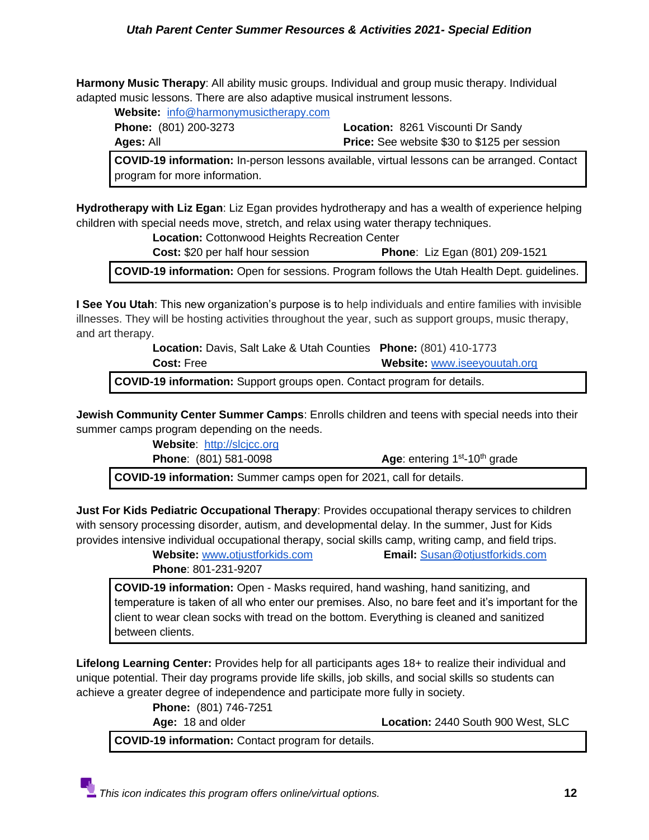**Harmony Music Therapy**: All ability music groups. Individual and group music therapy. Individual adapted music lessons. There are also adaptive musical instrument lessons.

**Website:** [info@harmonymusictherapy.com](https://harmonymusictherapy.com/)

**Phone:** (801) 200-3273 **Location:** 8261 Viscounti Dr Sandy **Ages:** All **Price:** See website \$30 to \$125 per session

**COVID-19 information:** In-person lessons available, virtual lessons can be arranged. Contact program for more information.

**Hydrotherapy with Liz Egan**: Liz Egan provides hydrotherapy and has a wealth of experience helping children with special needs move, stretch, and relax using water therapy techniques.

**Location:** Cottonwood Heights Recreation Center

**Cost:** \$20 per half hour session **Phone**: Liz Egan (801) 209-1521

**COVID-19 information:** Open for sessions. Program follows the Utah Health Dept. guidelines.

**I See You Utah**: This new organization's purpose is to help individuals and entire families with invisible illnesses. They will be hosting activities throughout the year, such as support groups, music therapy, and art therapy.

> **Location:** Davis, Salt Lake & Utah Counties **Phone:** (801) 410-1773  **Cost:** Free **Website:** [www.iseeyouutah.org](http://www.iseeyouutah.org/)

**COVID-19 information:** Support groups open. Contact program for details.

**Jewish Community Center Summer Camps**: Enrolls children and teens with special needs into their summer camps program depending on the needs.

**Website**: [http://slcjcc.org](http://slcjcc.org/)

**Phone: (801) 581-0098** 

Age: entering  $1<sup>st</sup> - 10<sup>th</sup>$  grade

**COVID-19 information:** Summer camps open for 2021, call for details.

**Just For Kids Pediatric Occupational Therapy**: Provides occupational therapy services to children with sensory processing disorder, autism, and developmental delay. In the summer, Just for Kids provides intensive individual occupational therapy, social skills camp, writing camp, and field trips.

**Website:** [www](http://www.otjustforkids.com/)**[.](http://www.otjustforkids.com/)**[otjustforkids.com](http://www.otjustforkids.com/) **Email:** [Susan@otjustforkids.com](mailto:Susan@otjustforkids.com)

**Phone**: 801-231-9207

**COVID-19 information:** Open - Masks required, hand washing, hand sanitizing, and temperature is taken of all who enter our premises. Also, no bare feet and it's important for the client to wear clean socks with tread on the bottom. Everything is cleaned and sanitized between clients.

**Lifelong Learning Center:** Provides help for all participants ages 18+ to realize their individual and unique potential. Their day programs provide life skills, job skills, and social skills so students can achieve a greater degree of independence and participate more fully in society.

**Phone:** (801) 746-7251

**Age:** 18 and older **Location:** 2440 South 900 West, SLC

**COVID-19 information:** Contact program for details.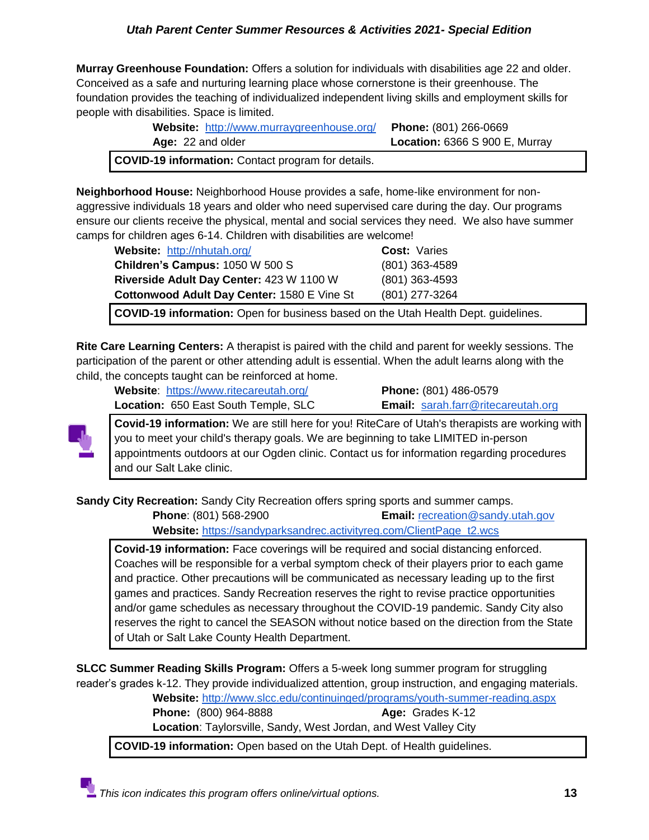**Murray Greenhouse Foundation:** Offers a solution for individuals with disabilities age 22 and older. Conceived as a safe and nurturing learning place whose cornerstone is their greenhouse. The foundation provides the teaching of individualized independent living skills and employment skills for people with disabilities. Space is limited.

| Website: http://www.murraygreenhouse.org/ Phone: (801) 266-0669 |                                |
|-----------------------------------------------------------------|--------------------------------|
| Age: 22 and older                                               | Location: 6366 S 900 E, Murray |
| <b>COVID-19 information:</b> Contact program for details.       |                                |

**Neighborhood House:** Neighborhood House provides a safe, home-like environment for nonaggressive individuals 18 years and older who need supervised care during the day. Our programs ensure our clients receive the physical, mental and social services they need. We also have summer camps for children ages 6-14. Children with disabilities are welcome!

| Website: http://nhutah.org/                 | <b>Cost: Varies</b> |
|---------------------------------------------|---------------------|
| Children's Campus: 1050 W 500 S             | (801) 363-4589      |
| Riverside Adult Day Center: 423 W 1100 W    | (801) 363-4593      |
| Cottonwood Adult Day Center: 1580 E Vine St | (801) 277-3264      |

**COVID-19 information:** Open for business based on the Utah Health Dept. guidelines.

**Rite Care Learning Centers:** A therapist is paired with the child and parent for weekly sessions. The participation of the parent or other attending adult is essential. When the adult learns along with the child, the concepts taught can be reinforced at home.

**Website**: <https://www.ritecareutah.org/> **Phone:** (801) 486-0579 **Location:** 650 East South Temple, SLC **Email:** [sarah.farr@ritecareutah.org](mailto:sarah.farr@ritecareutah.org)



**Covid-19 information:** We are still here for you! RiteCare of Utah's therapists are working with you to meet your child's therapy goals. We are beginning to take LIMITED in-person appointments outdoors at our Ogden clinic. Contact us for information regarding procedures and our Salt Lake clinic.

**Sandy City Recreation:** Sandy City Recreation offers spring sports and summer camps.

**Phone**: (801) 568-2900 **Email:** [recreation@sandy.utah.gov](mailto:recreation@sandy.utah.gov)

**Website:** [https://sandyparksandrec.activityreg.com/ClientPage\\_t2.wcs](https://sandyparksandrec.activityreg.com/ClientPage_t2.wcs)

**Covid-19 information:** Face coverings will be required and social distancing enforced. Coaches will be responsible for a verbal symptom check of their players prior to each game and practice. Other precautions will be communicated as necessary leading up to the first games and practices. Sandy Recreation reserves the right to revise practice opportunities and/or game schedules as necessary throughout the COVID-19 pandemic. Sandy City also reserves the right to cancel the SEASON without notice based on the direction from the State of Utah or Salt Lake County Health Department.

**SLCC Summer Reading Skills Program:** Offers a 5-week long summer program for struggling reader's grades k-12. They provide individualized attention, group instruction, and engaging materials.

**Website:** <http://www.slcc.edu/continuinged/programs/youth-summer-reading.aspx>

**Phone:** (800) 964-8888 **Age:** Grades K-12

**Location**: Taylorsville, Sandy, West Jordan, and West Valley City

**COVID-19 information:** Open based on the Utah Dept. of Health guidelines.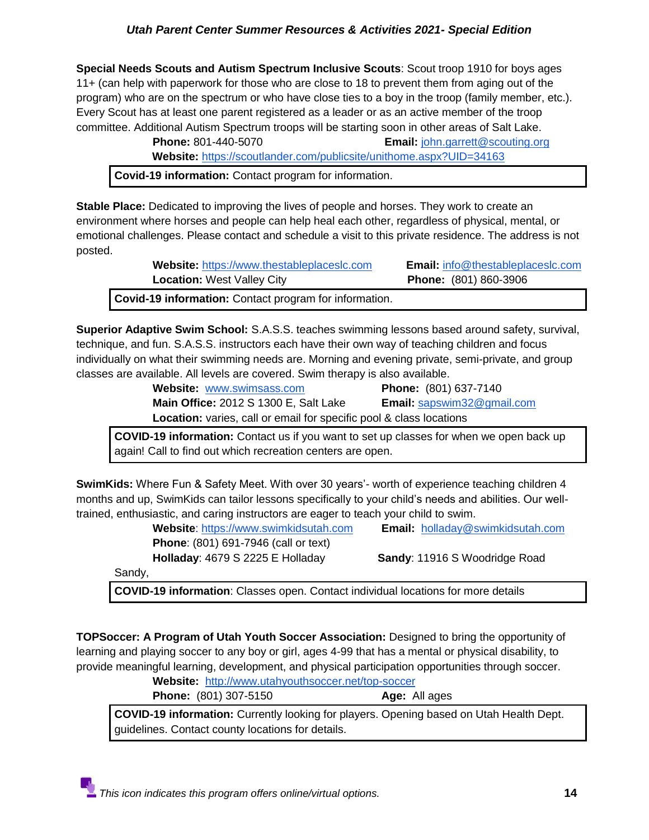**Special Needs Scouts and Autism Spectrum Inclusive Scouts**: Scout troop 1910 for boys ages 11+ (can help with paperwork for those who are close to 18 to prevent them from aging out of the program) who are on the spectrum or who have close ties to a boy in the troop (family member, etc.). Every Scout has at least one parent registered as a leader or as an active member of the troop committee. Additional Autism Spectrum troops will be starting soon in other areas of Salt Lake.

 **Phone:** 801-440-5070 **Email:** [john.garrett@scouting.org](mailto:john.garrett@scouting.org)

**Website:** <https://scoutlander.com/publicsite/unithome.aspx?UID=34163>

**Covid-19 information:** Contact program for information.

**Stable Place:** Dedicated to improving the lives of people and horses. They work to create an environment where horses and people can help heal each other, regardless of physical, mental, or emotional challenges. Please contact and schedule a visit to this private residence. The address is not posted.

| d 40 tufanwattan : Oantaat nyanyan farisfanyaattan |                                          |
|----------------------------------------------------|------------------------------------------|
| <b>Location: West Valley City</b>                  | <b>Phone:</b> (801) 860-3906             |
| Website: https://www.thestableplaceslc.com         | <b>Email:</b> info@thestableplaceslc.com |

**Covid-19 information:** Contact program for information.

**Superior Adaptive Swim School:** S.A.S.S. teaches swimming lessons based around safety, survival, technique, and fun. S.A.S.S. instructors each have their own way of teaching children and focus individually on what their swimming needs are. Morning and evening private, semi-private, and group classes are available. All levels are covered. Swim therapy is also available.

> **Website:** [www.swimsass.com](http://www.swimsass.com/) **Phone:** (801) 637-7140 **Main Office:** 2012 S 1300 E, Salt Lake **Email:** [sapswim32@gmail.com](mailto:sapswim32@gmail.com) **Location:** varies, call or email for specific pool & class locations

**COVID-19 information:** Contact us if you want to set up classes for when we open back up again! Call to find out which recreation centers are open.

**SwimKids:** Where Fun & Safety Meet. With over 30 years'- worth of experience teaching children 4 months and up, SwimKids can tailor lessons specifically to your child's needs and abilities. Our welltrained, enthusiastic, and caring instructors are eager to teach your child to swim.

| Website: https://www.swimkidsutah.com       | <b>Email:</b> holladay@swimkidsutah.com |
|---------------------------------------------|-----------------------------------------|
| <b>Phone:</b> (801) 691-7946 (call or text) |                                         |
| Holladay: 4679 S 2225 E Holladay            | Sandy: 11916 S Woodridge Road           |
| Sandy,                                      |                                         |

**COVID-19 information**: Classes open. Contact individual locations for more details

**TOPSoccer: A Program of Utah Youth Soccer Association:** Designed to bring the opportunity of learning and playing soccer to any boy or girl, ages 4-99 that has a mental or physical disability, to provide meaningful learning, development, and physical participation opportunities through soccer.

|                              | Website: http://www.utahyouthsoccer.net/top-soccer |
|------------------------------|----------------------------------------------------|
| <b>Phone:</b> (801) 307-5150 | Age: All ages                                      |

**COVID-19 information:** Currently looking for players. Opening based on Utah Health Dept. guidelines. Contact county locations for details.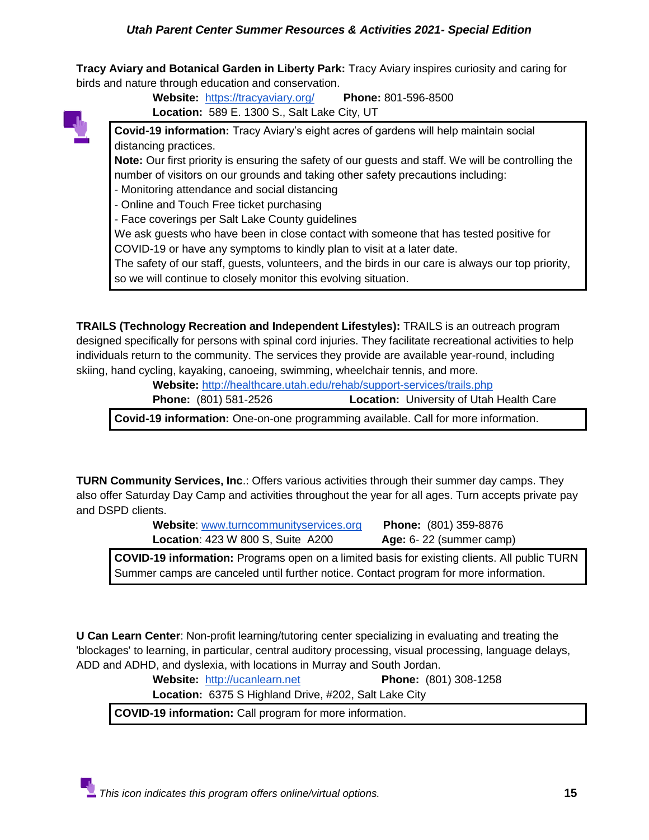**Tracy Aviary and Botanical Garden in Liberty Park:** Tracy Aviary inspires curiosity and caring for birds and nature through education and conservation.

**Website:** <https://tracyaviary.org/>**Phone:** 801-596-8500 **Location:** 589 E. 1300 S., Salt Lake City, UT

**Covid-19 information:** Tracy Aviary's eight acres of gardens will help maintain social distancing practices.

**Note:** Our first priority is ensuring the safety of our guests and staff. We will be controlling the number of visitors on our grounds and taking other safety precautions including:

- Monitoring attendance and social distancing
- Online and Touch Free ticket purchasing
- Face coverings per Salt Lake County guidelines

We ask guests who have been in close contact with someone that has tested positive for COVID-19 or have any symptoms to kindly plan to visit at a later date.

The safety of our staff, guests, volunteers, and the birds in our care is always our top priority, so we will continue to closely monitor this evolving situation.

**TRAILS (Technology Recreation and Independent Lifestyles):** TRAILS is an outreach program designed specifically for persons with spinal cord injuries. They facilitate recreational activities to help individuals return to the community. The services they provide are available year-round, including skiing, hand cycling, kayaking, canoeing, swimming, wheelchair tennis, and more.

| Website: http://healthcare.utah.edu/rehab/support-services/trails.php |                                                 |
|-----------------------------------------------------------------------|-------------------------------------------------|
| <b>Phone:</b> (801) 581-2526                                          | <b>Location:</b> University of Utah Health Care |

**Covid-19 information:** One-on-one programming available. Call for more information.

**TURN Community Services, Inc**.: Offers various activities through their summer day camps. They also offer Saturday Day Camp and activities throughout the year for all ages. Turn accepts private pay and DSPD clients.

> **Website**: [www.turncommunityservices.org](http://www.turncommunityservices.org/) **Phone:** (801) 359-8876 **Location**: 423 W 800 S, Suite A200 **Age:** 6- 22 (summer camp)

**COVID-19 information:** Programs open on a limited basis for existing clients. All public TURN Summer camps are canceled until further notice. Contact program for more information.

**U Can Learn Center**: Non-profit learning/tutoring center specializing in evaluating and treating the 'blockages' to learning, in particular, central auditory processing, visual processing, language delays, ADD and ADHD, and dyslexia, with locations in Murray and South Jordan.

**Website:** [http://ucanlearn.net](http://ucanlearn.net/) **Phone:** (801) 308-1258

**Location:** 6375 S Highland Drive, #202, Salt Lake City

**COVID-19 information:** Call program for more information.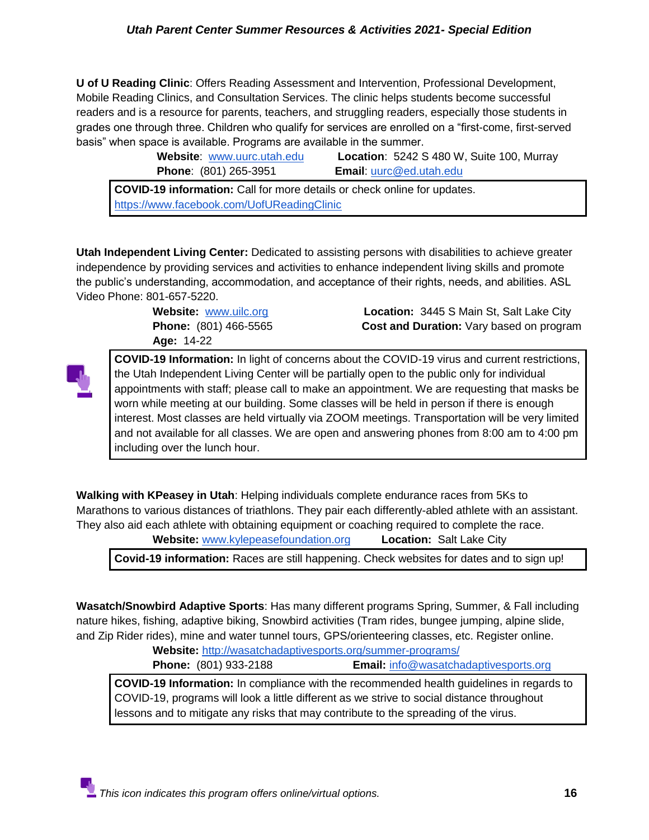**U of U Reading Clinic**: Offers Reading Assessment and Intervention, Professional Development, Mobile Reading Clinics, and Consultation Services. The clinic helps students become successful readers and is a resource for parents, teachers, and struggling readers, especially those students in grades one through three. Children who qualify for services are enrolled on a "first-come, first-served basis" when space is available. Programs are available in the summer.

| Website: www.uurc.utah.edu   | Location: 5242 S 480 W, Suite 100, Murray |
|------------------------------|-------------------------------------------|
| <b>Phone: (801) 265-3951</b> | <b>Email: uurc@ed.utah.edu</b>            |

**COVID-19 information:** Call for more details or check online for updates. <https://www.facebook.com/UofUReadingClinic>

**Utah Independent Living Center:** Dedicated to assisting persons with disabilities to achieve greater independence by providing services and activities to enhance independent living skills and promote the public's understanding, accommodation, and acceptance of their rights, needs, and abilities. ASL Video Phone: 801-657-5220.

**Age:** 14-22

**Website:** [www.uilc.org](http://www.uilc.org/) **Location:** 3445 S Main St, Salt Lake City **Phone:** (801) 466-5565 **Cost and Duration:** Vary based on program



**COVID-19 Information:** In light of concerns about the COVID-19 virus and current restrictions, the Utah Independent Living Center will be partially open to the public only for individual appointments with staff; please call to make an appointment. We are requesting that masks be worn while meeting at our building. Some classes will be held in person if there is enough interest. Most classes are held virtually via ZOOM meetings. Transportation will be very limited and not available for all classes. We are open and answering phones from 8:00 am to 4:00 pm including over the lunch hour.

**Walking with KPeasey in Utah**: Helping individuals complete endurance races from 5Ks to Marathons to various distances of triathlons. They pair each differently-abled athlete with an assistant. They also aid each athlete with obtaining equipment or coaching required to complete the race. **Website:** [www.kylepeasefoundation.org](http://www.kylepeasefoundation.org/) **Location:** Salt Lake City

**Covid-19 information:** Races are still happening. Check websites for dates and to sign up!

**Wasatch/Snowbird Adaptive Sports**: Has many different programs Spring, Summer, & Fall including nature hikes, fishing, adaptive biking, Snowbird activities (Tram rides, bungee jumping, alpine slide, and Zip Rider rides), mine and water tunnel tours, GPS/orienteering classes, etc. Register online.

**Website:** <http://wasatchadaptivesports.org/summer-programs/>

**Phone:** (801) 933-2188 **Email:** [info@wasatchadaptivesports.org](mailto:info@wasatchadaptivesports.org)

**COVID-19 Information:** In compliance with the recommended health guidelines in regards to COVID-19, programs will look a little different as we strive to social distance throughout lessons and to mitigate any risks that may contribute to the spreading of the virus.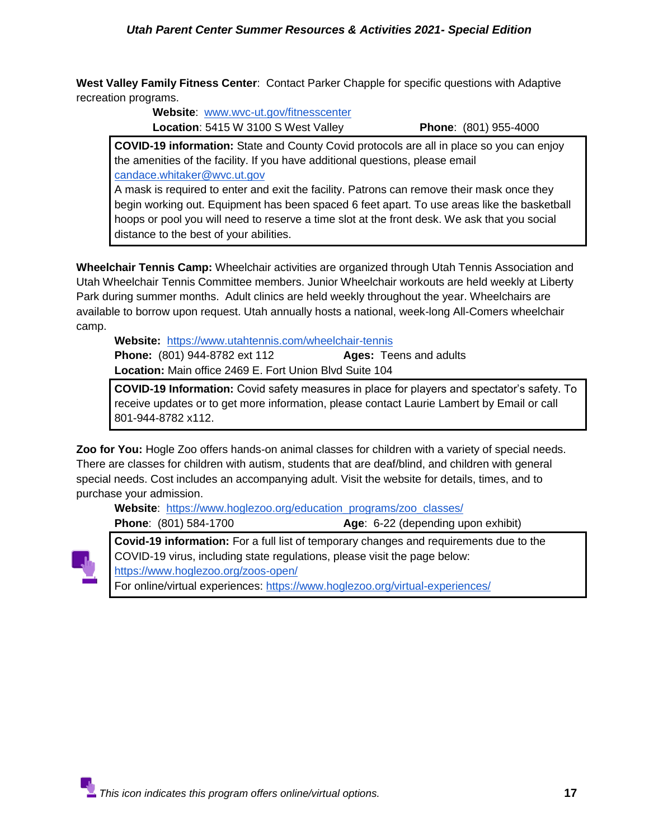**West Valley Family Fitness Center**: Contact Parker Chapple for specific questions with Adaptive recreation programs.

> **Website**: [www.wvc-ut.gov/fitnesscenter](http://www.wvc-ut.gov/fitnesscenter) **Location**: 5415 W 3100 S West Valley **Phone**: (801) 955-4000

**COVID-19 information:** State and County Covid protocols are all in place so you can enjoy the amenities of the facility. If you have additional questions, please email [candace.whitaker@wvc.ut.gov](mailto:candace.whitaker@wvc.ut.gov)

A mask is required to enter and exit the facility. Patrons can remove their mask once they begin working out. Equipment has been spaced 6 feet apart. To use areas like the basketball hoops or pool you will need to reserve a time slot at the front desk. We ask that you social distance to the best of your abilities.

**Wheelchair Tennis Camp:** Wheelchair activities are organized through Utah Tennis Association and Utah Wheelchair Tennis Committee members. Junior Wheelchair workouts are held weekly at Liberty Park during summer months. Adult clinics are held weekly throughout the year. Wheelchairs are available to borrow upon request. Utah annually hosts a national, week-long All-Comers wheelchair camp.

**Website:** <https://www.utahtennis.com/wheelchair-tennis> **Phone:** (801) 944-8782 ext 112 **Ages:** Teens and adults **Location:** Main office 2469 E. Fort Union Blvd Suite 104

**COVID-19 Information:** Covid safety measures in place for players and spectator's safety. To receive updates or to get more information, please contact Laurie Lambert by Email or call 801-944-8782 x112.

**Zoo for You:** Hogle Zoo offers hands-on animal classes for children with a variety of special needs. There are classes for children with autism, students that are deaf/blind, and children with general special needs. Cost includes an accompanying adult. Visit the website for details, times, and to purchase your admission.

**Website**: [https://www.hoglezoo.org/education\\_programs/zoo\\_classes/](https://www.hoglezoo.org/education_programs/zoo_classes/) **Phone**: (801) 584-1700 **Age**: 6-22 (depending upon exhibit)



**Covid-19 information:** For a full list of temporary changes and requirements due to the COVID-19 virus, including state regulations, please visit the page below: <https://www.hoglezoo.org/zoos-open/> For online/virtual experiences:<https://www.hoglezoo.org/virtual-experiences/>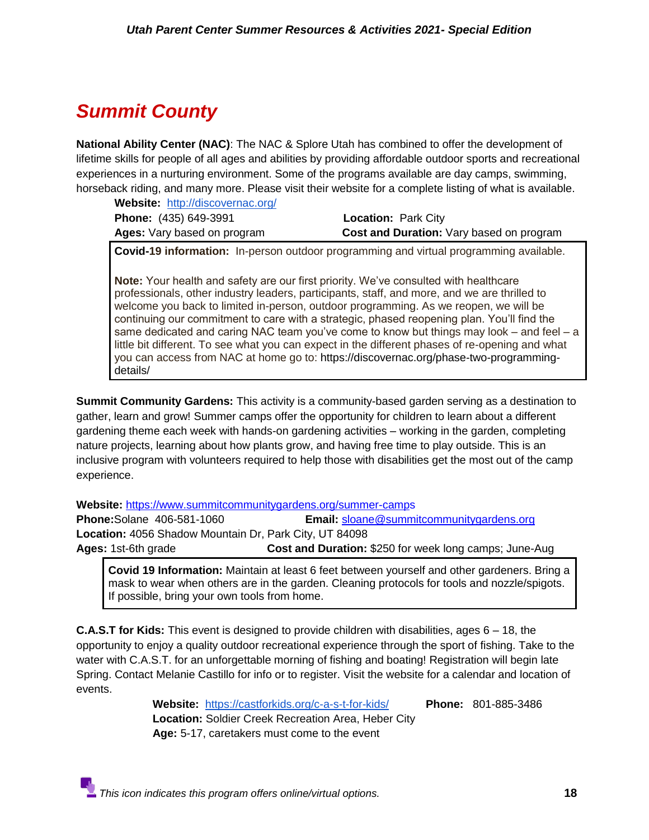## <span id="page-17-0"></span>*Summit County*

**National Ability Center (NAC)**: The NAC & Splore Utah has combined to offer the development of lifetime skills for people of all ages and abilities by providing affordable outdoor sports and recreational experiences in a nurturing environment. Some of the programs available are day camps, swimming, horseback riding, and many more. Please visit their website for a complete listing of what is available.

**Website:** <http://discovernac.org/>

| <b>Phone:</b> (435) 649-3991 | <b>Location: Park City</b>                      |
|------------------------------|-------------------------------------------------|
| Ages: Vary based on program  | <b>Cost and Duration:</b> Vary based on program |

**Covid-19 information:** In-person outdoor programming and virtual programming available.

**Note:** Your health and safety are our first priority. We've consulted with healthcare professionals, other industry leaders, participants, staff, and more, and we are thrilled to welcome you back to limited in-person, outdoor programming. As we reopen, we will be continuing our commitment to care with a strategic, phased reopening plan. You'll find the same dedicated and caring NAC team you've come to know but things may look  $-$  and feel  $-$  a little bit different. To see what you can expect in the different phases of re-opening and what you can access from NAC at home go to: https://discovernac.org/phase-two-programmingdetails/

**Summit Community Gardens:** This activity is a community-based garden serving as a destination to gather, learn and grow! Summer camps offer the opportunity for children to learn about a different gardening theme each week with hands-on gardening activities – working in the garden, completing nature projects, learning about how plants grow, and having free time to play outside. This is an inclusive program with volunteers required to help those with disabilities get the most out of the camp experience.

**Website:** <https://www.summitcommunitygardens.org/summer-camps>

**Phone:**Solane 406-581-1060 **Email:** [sloane@summitcommunitygardens.org](mailto:sloane@summitcommunitygardens.org) **Location:** 4056 Shadow Mountain Dr, Park City, UT 84098 **Ages:** 1st-6th grade **Cost and Duration:** \$250 for week long camps; June-Aug

**Covid 19 Information:** Maintain at least 6 feet between yourself and other gardeners. Bring a mask to wear when others are in the garden. Cleaning protocols for tools and nozzle/spigots. If possible, bring your own tools from home.

**C.A.S.T for Kids:** This event is designed to provide children with disabilities, ages 6 – 18, the opportunity to enjoy a quality outdoor recreational experience through the sport of fishing. Take to the water with C.A.S.T. for an unforgettable morning of fishing and boating! Registration will begin late Spring. Contact Melanie Castillo for info or to register. Visit the website for a calendar and location of events.

> **Website:** <https://castforkids.org/c-a-s-t-for-kids/>**Phone:** 801-885-3486 **Location:** Soldier Creek Recreation Area, Heber City  **Age:** 5-17, caretakers must come to the event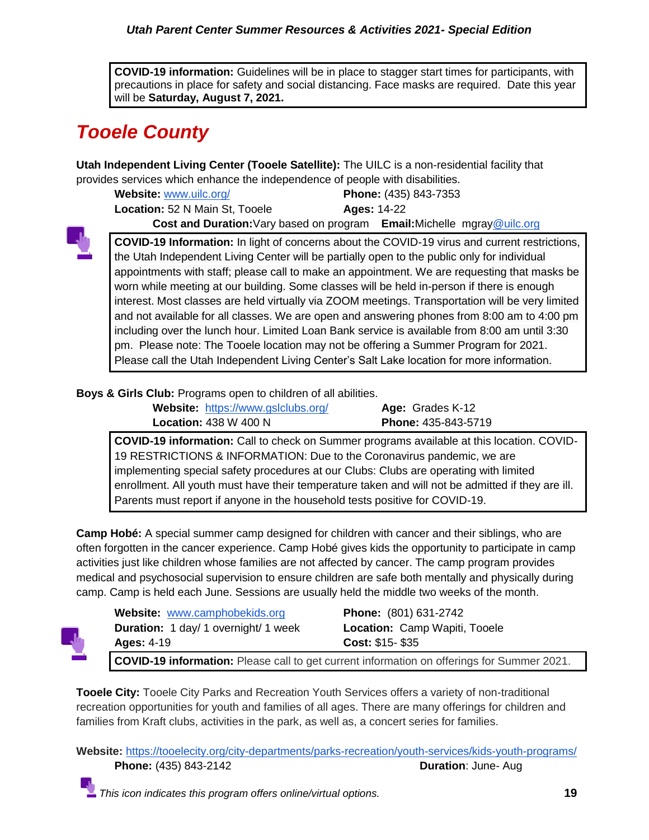**COVID-19 information:** Guidelines will be in place to stagger start times for participants, with precautions in place for safety and social distancing. Face masks are required. Date this year will be **Saturday, August 7, 2021.**

## <span id="page-18-0"></span>*Tooele County*

**Utah Independent Living Center (Tooele Satellite):** The UILC is a non-residential facility that provides services which enhance the independence of people with disabilities.

**Website:** [www.uilc.org/](http://www.uilc.org/) **Phone:** (435) 843-7353 **Location:** 52 N Main St, Tooele **Ages:** 14-22

**Cost and Duration:**Vary based on program **Email:**Michelle mgra[y@uilc.org](mailto:wniblock@uilc.org)



**COVID-19 Information:** In light of concerns about the COVID-19 virus and current restrictions, the Utah Independent Living Center will be partially open to the public only for individual appointments with staff; please call to make an appointment. We are requesting that masks be worn while meeting at our building. Some classes will be held in-person if there is enough interest. Most classes are held virtually via ZOOM meetings. Transportation will be very limited and not available for all classes. We are open and answering phones from 8:00 am to 4:00 pm including over the lunch hour. Limited Loan Bank service is available from 8:00 am until 3:30 pm. Please note: The Tooele location may not be offering a Summer Program for 2021. Please call the Utah Independent Living Center's Salt Lake location for more information.

## **Boys & Girls Club:** Programs open to children of all abilities.

**Website:** <https://www.gslclubs.org/>**Age:** Grades K-12 **Location:** 438 W 400 N **Phone:** 435-843-5719

**COVID-19 information:** Call to check on Summer programs available at this location. COVID-19 RESTRICTIONS & INFORMATION: Due to the Coronavirus pandemic, we are implementing special safety procedures at our Clubs: Clubs are operating with limited enrollment. All youth must have their temperature taken and will not be admitted if they are ill. Parents must report if anyone in the household tests positive for COVID-19.

**Camp Hobé:** A special summer camp designed for children with cancer and their siblings, who are often forgotten in the cancer experience. Camp Hobé gives kids the opportunity to participate in camp activities just like children whose families are not affected by cancer. The camp program provides medical and psychosocial supervision to ensure children are safe both mentally and physically during camp. Camp is held each June. Sessions are usually held the middle two weeks of the month.



**Website:** [www.camphobekids.org](http://www.camphobekids.org/) **Phone:** (801) 631-2742 **Duration:** 1 day/ 1 overnight/ 1 week **Location:** Camp Wapiti, Tooele **Ages:** 4-19 **Cost:** \$15- \$35 **COVID-19 information:** Please call to get current information on offerings for Summer 2021.

**Tooele City:** Tooele City Parks and Recreation Youth Services offers a variety of non-traditional recreation opportunities for youth and families of all ages. There are many offerings for children and families from Kraft clubs, activities in the park, as well as, a concert series for families.

**Website:** <https://tooelecity.org/city-departments/parks-recreation/youth-services/kids-youth-programs/> **Phone:** (435) 843-2142 **Duration**: June- Aug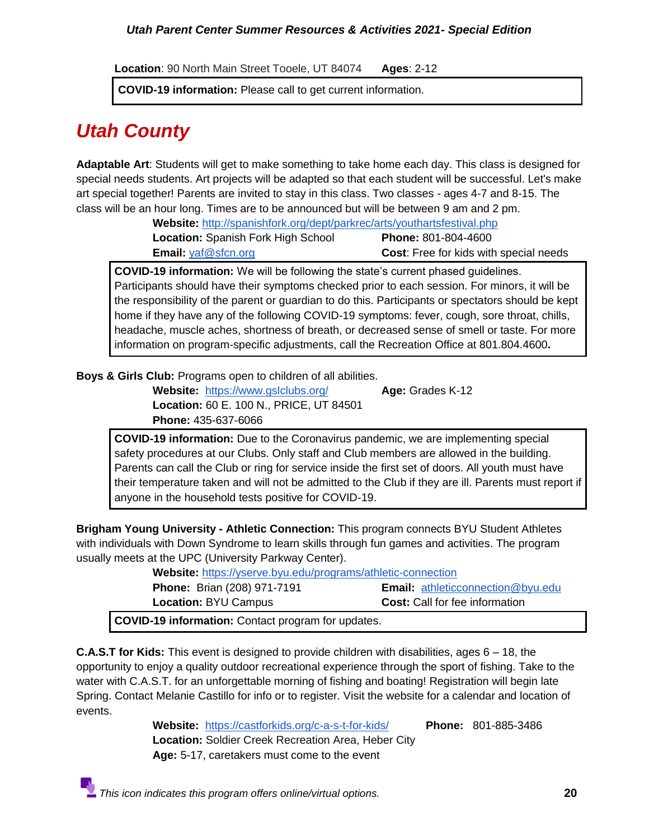**Location**: 90 North Main Street Tooele, UT 84074 **Ages**: 2-12

**COVID-19 information:** Please call to get current information.

## *Utah County*

**Adaptable Art**: Students will get to make something to take home each day. This class is designed for special needs students. Art projects will be adapted so that each student will be successful. Let's make art special together! Parents are invited to stay in this class. Two classes - ages 4-7 and 8-15. The class will be an hour long. Times are to be announced but will be between 9 am and 2 pm.

**Website:** <http://spanishfork.org/dept/parkrec/arts/youthartsfestival.php> **Location:** Spanish Fork High School **Phone:** 801-804-4600

**Email:** [yaf@sfcn.org](mailto:yaf@sfcn.org) **Cost**: Free for kids with special needs

**COVID-19 information:** We will be following the state's current phased guidelines. Participants should have their symptoms checked prior to each session. For minors, it will be the responsibility of the parent or guardian to do this. Participants or spectators should be kept home if they have any of the following COVID-19 symptoms: fever, cough, sore throat, chills, headache, muscle aches, shortness of breath, or decreased sense of smell or taste. For more information on program-specific adjustments, call the Recreation Office at 801.804.4600**.**

**Boys & Girls Club:** Programs open to children of all abilities.

**Website:** <https://www.gslclubs.org/>**Age:** Grades K-12 **Location:** 60 E. 100 N., PRICE, UT 84501 **Phone:** 435-637-6066

**COVID-19 information:** Due to the Coronavirus pandemic, we are implementing special safety procedures at our Clubs. Only staff and Club members are allowed in the building. Parents can call the Club or ring for service inside the first set of doors. All youth must have their temperature taken and will not be admitted to the Club if they are ill. Parents must report if anyone in the household tests positive for COVID-19.

**Brigham Young University - Athletic Connection:** This program connects BYU Student Athletes with individuals with Down Syndrome to learn skills through fun games and activities. The program usually meets at the UPC (University Parkway Center).

| <b>Website:</b> https://yserve.byu.edu/programs/athletic-connection |                                          |
|---------------------------------------------------------------------|------------------------------------------|
| <b>Phone: Brian (208) 971-7191</b>                                  | <b>Email:</b> athleticconnection@byu.edu |
| <b>Location: BYU Campus</b>                                         | <b>Cost:</b> Call for fee information    |
| <b>COVID-19 information:</b> Contact program for updates.           |                                          |
|                                                                     |                                          |

**C.A.S.T for Kids:** This event is designed to provide children with disabilities, ages 6 – 18, the opportunity to enjoy a quality outdoor recreational experience through the sport of fishing. Take to the water with C.A.S.T. for an unforgettable morning of fishing and boating! Registration will begin late Spring. Contact Melanie Castillo for info or to register. Visit the website for a calendar and location of events.

> **Website:** <https://castforkids.org/c-a-s-t-for-kids/>**Phone:** 801-885-3486 **Location:** Soldier Creek Recreation Area, Heber City  **Age:** 5-17, caretakers must come to the event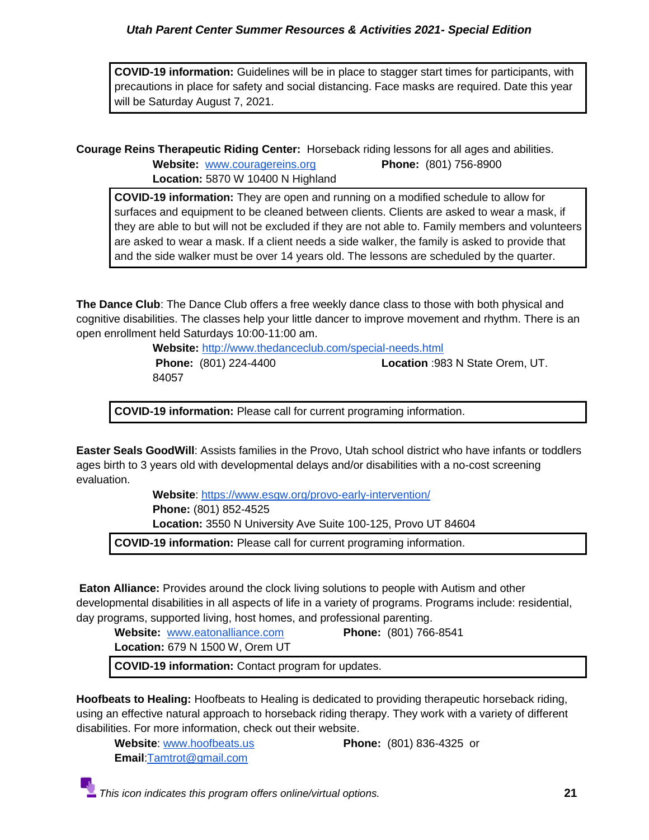**COVID-19 information:** Guidelines will be in place to stagger start times for participants, with precautions in place for safety and social distancing. Face masks are required. Date this year will be Saturday August 7, 2021.

**Courage Reins Therapeutic Riding Center:** Horseback riding lessons for all ages and abilities.

**Website:** [www.couragereins.org](http://www.couragereins.org/) **Phone:** (801) 756-8900 **Location:** 5870 W 10400 N Highland

**COVID-19 information:** They are open and running on a modified schedule to allow for surfaces and equipment to be cleaned between clients. Clients are asked to wear a mask, if they are able to but will not be excluded if they are not able to. Family members and volunteers are asked to wear a mask. If a client needs a side walker, the family is asked to provide that and the side walker must be over 14 years old. The lessons are scheduled by the quarter.

**The Dance Club**: The Dance Club offers a free weekly dance class to those with both physical and cognitive disabilities. The classes help your little dancer to improve movement and rhythm. There is an open enrollment held Saturdays 10:00-11:00 am.

> **Website:** <http://www.thedanceclub.com/special-needs.html> **Phone:** (801) 224-4400 **Location** :983 N State Orem, UT. 84057

**COVID-19 information:** Please call for current programing information.

**Easter Seals GoodWill**: Assists families in the Provo, Utah school district who have infants or toddlers ages birth to 3 years old with developmental delays and/or disabilities with a no-cost screening evaluation.

> **Website**:<https://www.esgw.org/provo-early-intervention/> **Phone:** (801) 852-4525 **Location:** 3550 N University Ave Suite 100-125, Provo UT 84604

**COVID-19 information:** Please call for current programing information.

**Eaton Alliance:** Provides around the clock living solutions to people with Autism and other developmental disabilities in all aspects of life in a variety of programs. Programs include: residential, day programs, supported living, host homes, and professional parenting.

**Website:** [www.eatonalliance.com](http://www.eatonalliance.com/) **Phone:** (801) 766-8541 **Location:** 679 N 1500 W, Orem UT

**COVID-19 information:** Contact program for updates.

**Hoofbeats to Healing:** Hoofbeats to Healing is dedicated to providing therapeutic horseback riding, using an effective natural approach to horseback riding therapy. They work with a variety of different disabilities. For more information, check out their website.

**Website**: [www.hoofbeats.us](http://www.hoofbeats.us/) **Phone:** (801) 836-4325 or **Email**[:Tamtrot@gmail.com](mailto:Tamtrot@gmail.com)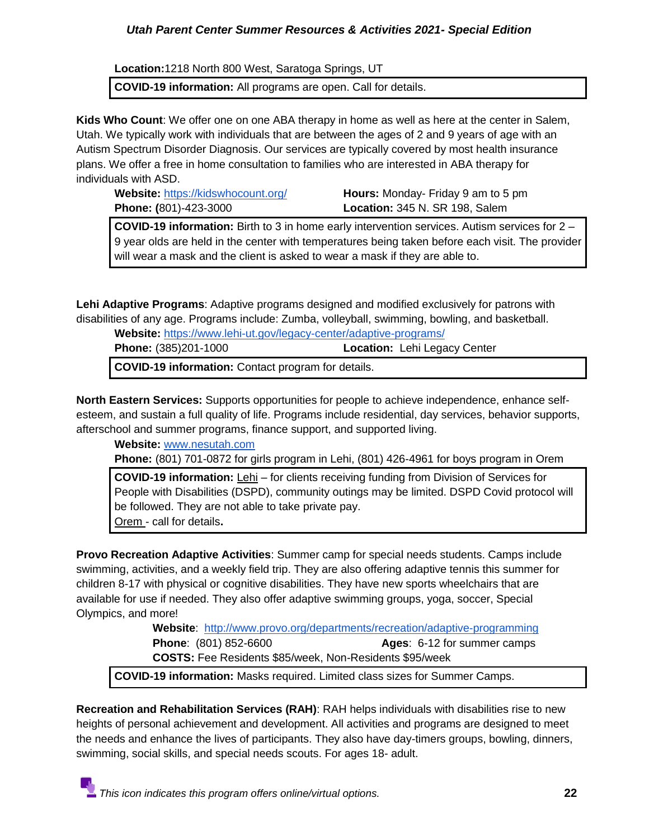**Location:**[1218 North 800 West,](https://www.google.com/maps/place/Hoofbeats+To+Healing/@40.3907372,-111.9343636,15z/data=!4m5!3m4!1s0x0:0xa84ba5d049eb1567!8m2!3d40.3843251!4d-111.9351375) Saratoga Springs, UT

**COVID-19 information:** All programs are open. Call for details.

**Kids Who Count**: We offer one on one ABA therapy in home as well as here at the center in Salem, Utah. We typically work with individuals that are between the ages of 2 and 9 years of age with an Autism Spectrum Disorder Diagnosis. Our services are typically covered by most health insurance plans. We offer a free in home consultation to families who are interested in ABA therapy for individuals with ASD.

**Website:** <https://kidswhocount.org/>**Hours:** Monday- Friday 9 am to 5 pm **Phone: (**801)-423-3000 **Location:** 345 N. SR 198, Salem

**COVID-19 information:** Birth to 3 in home early intervention services. Autism services for 2 – 9 year olds are held in the center with temperatures being taken before each visit. The provider will wear a mask and the client is asked to wear a mask if they are able to.

**Lehi Adaptive Programs**: Adaptive programs designed and modified exclusively for patrons with disabilities of any age. Programs include: Zumba, volleyball, swimming, bowling, and basketball.

| Website: https://www.lehi-ut.gov/legacy-center/adaptive-programs/ |                                     |
|-------------------------------------------------------------------|-------------------------------------|
| <b>Phone: (385)201-1000</b>                                       | <b>Location:</b> Lehi Legacy Center |
| <b>COVID-19 information:</b> Contact program for details.         |                                     |

**North Eastern Services:** Supports opportunities for people to achieve independence, enhance selfesteem, and sustain a full quality of life. Programs include residential, day services, behavior supports, afterschool and summer programs, finance support, and supported living.

**Website:** [www.nesutah.com](http://www.nesutah.com/)

**Phone:** (801) 701-0872 for girls program in Lehi, (801) 426-4961 for boys program in Orem

**COVID-19 information:** Lehi – for clients receiving funding from Division of Services for People with Disabilities (DSPD), community outings may be limited. DSPD Covid protocol will be followed. They are not able to take private pay. Orem - call for details**.**

**Provo Recreation Adaptive Activities**: Summer camp for special needs students. Camps include swimming, activities, and a weekly field trip. They are also offering adaptive tennis this summer for children 8-17 with physical or cognitive disabilities. They have new sports wheelchairs that are available for use if needed. They also offer adaptive swimming groups, yoga, soccer, Special Olympics, and more!

> **Website**: <http://www.provo.org/departments/recreation/adaptive-programming> **Phone**: (801) 852-6600 **Ages**: 6-12 for summer camps **COSTS:** Fee Residents \$85/week, Non-Residents \$95/week

**COVID-19 information:** Masks required. Limited class sizes for Summer Camps.

**Recreation and Rehabilitation Services (RAH)**: RAH helps individuals with disabilities rise to new heights of personal achievement and development. All activities and programs are designed to meet the needs and enhance the lives of participants. They also have day-timers groups, bowling, dinners, swimming, social skills, and special needs scouts. For ages 18- adult.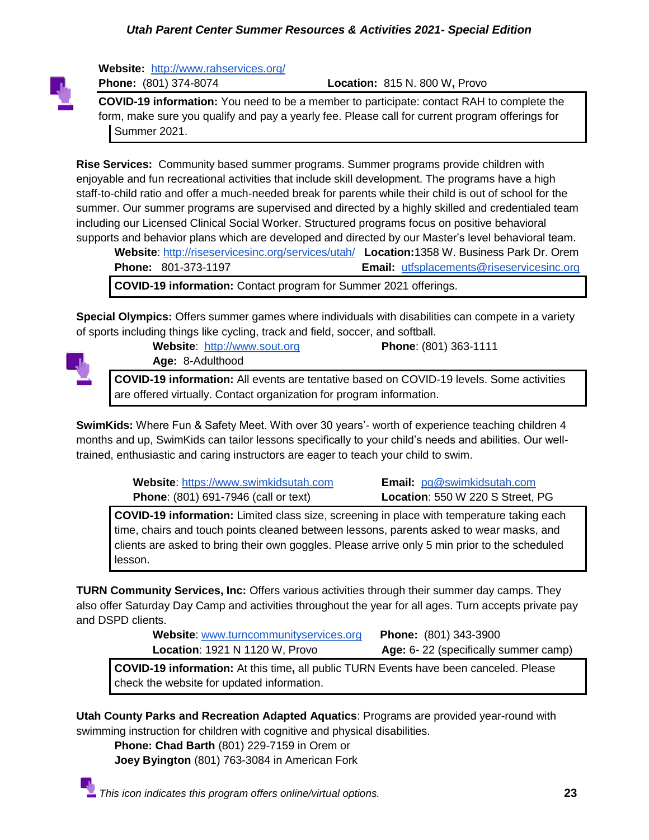

**Website:** <http://www.rahservices.org/>

**Phone:** (801) 374-8074 **Location:** 815 N. 800 W**,** Provo

**COVID-19 information:** You need to be a member to participate: contact RAH to complete the form, make sure you qualify and pay a yearly fee. Please call for current program offerings for Summer 2021.

**Rise Services:** Community based summer programs. Summer programs provide children with enjoyable and fun recreational activities that include skill development. The programs have a high staff-to-child ratio and offer a much-needed break for parents while their child is out of school for the summer. Our summer programs are supervised and directed by a highly skilled and credentialed team including our Licensed Clinical Social Worker. Structured programs focus on positive behavioral supports and behavior plans which are developed and directed by our Master's level behavioral team.

**Website**:<http://riseservicesinc.org/services/utah/>**Location:**1358 W. Business Park Dr. Orem **Phone:** 801-373-1197 **Email:** [utfsplacements@riseservicesinc.org](mailto:utfsplacements@riseservicesinc.org) **COVID-19 information:** Contact program for Summer 2021 offerings.

**Special Olympics:** Offers summer games where individuals with disabilities can compete in a variety of sports including things like cycling, track and field, soccer, and softball.



**Website**: [http://www.sout.org](http://www.sout.org/) **Phone**: (801) 363-1111 **Age:** 8-Adulthood

**COVID-19 information:** All events are tentative based on COVID-19 levels. Some activities are offered virtually. Contact organization for program information.

**SwimKids:** Where Fun & Safety Meet. With over 30 years'- worth of experience teaching children 4 months and up, SwimKids can tailor lessons specifically to your child's needs and abilities. Our welltrained, enthusiastic and caring instructors are eager to teach your child to swim.

> **Website**: [https://www.swimkidsutah.com](https://www.swimkidsutah.com/) **Email:** [pg@swimkidsutah.com](mailto:pg@swimkidsutah.com) **Phone**: (801) 691-7946 (call or text) **Location**: 550 W 220 S Street, PG

**COVID-19 information:** Limited class size, screening in place with temperature taking each time, chairs and touch points cleaned between lessons, parents asked to wear masks, and clients are asked to bring their own goggles. Please arrive only 5 min prior to the scheduled lesson.

**TURN Community Services, Inc:** Offers various activities through their summer day camps. They also offer Saturday Day Camp and activities throughout the year for all ages. Turn accepts private pay and DSPD clients.

| Website: www.turncommunityservices.org | <b>Phone:</b> (801) 343-3900         |
|----------------------------------------|--------------------------------------|
| <b>Location: 1921 N 1120 W, Provo</b>  | Age: 6-22 (specifically summer camp) |

**COVID-19 information:** At this time**,** all public TURN Events have been canceled. Please check the website for updated information.

**Utah County Parks and Recreation Adapted Aquatics**: Programs are provided year-round with swimming instruction for children with cognitive and physical disabilities.

**Phone: Chad Barth** (801) 229-7159 in Orem or **Joey Byington** (801) 763-3084 in American Fork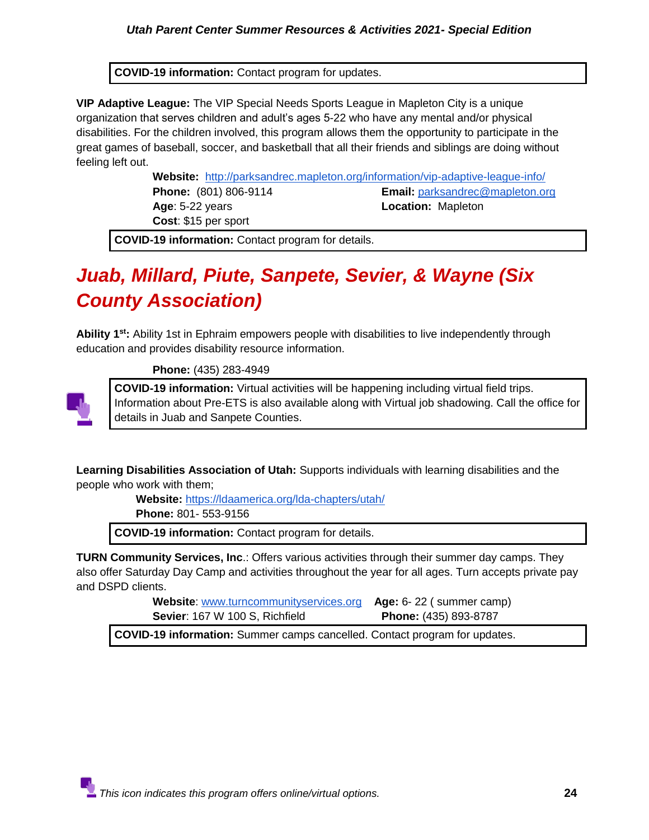**COVID-19 information:** Contact program for updates.

**VIP Adaptive League:** The VIP Special Needs Sports League in Mapleton City is a unique organization that serves children and adult's ages 5-22 who have any mental and/or physical disabilities. For the children involved, this program allows them the opportunity to participate in the great games of baseball, soccer, and basketball that all their friends and siblings are doing without feeling left out.

> **Website:** <http://parksandrec.mapleton.org/information/vip-adaptive-league-info/> **Phone:** (801) 806-9114 **Email:** [parksandrec@mapleton.org](mailto:parksandrec@mapleton.org) **Age: 5-22 years Location: Mapleton Cost**: \$15 per sport

**COVID-19 information:** Contact program for details.

## <span id="page-23-0"></span>*Juab, Millard, Piute, Sanpete, Sevier, & Wayne (Six County Association)*

**Ability 1st:** Ability 1st in Ephraim empowers people with disabilities to live independently through education and provides disability resource information.

 **Phone:** (435) 283-4949



**COVID-19 information:** Virtual activities will be happening including virtual field trips. Information about Pre-ETS is also available along with Virtual job shadowing. Call the office for details in Juab and Sanpete Counties.

**Learning Disabilities Association of Utah:** Supports individuals with learning disabilities and the people who work with them;

> **Website:** <https://ldaamerica.org/lda-chapters/utah/> **Phone:** 801- 553-9156

**COVID-19 information:** Contact program for details.

**TURN Community Services, Inc**.: Offers various activities through their summer day camps. They also offer Saturday Day Camp and activities throughout the year for all ages. Turn accepts private pay and DSPD clients.

> **Website**: [www.turncommunityservices.org](http://www.turncommunityservices.org/) **Age:** 6- 22 ( summer camp) **Sevier**: 167 W 100 S, Richfield **Phone:** (435) 893-8787

**COVID-19 information:** Summer camps cancelled. Contact program for updates.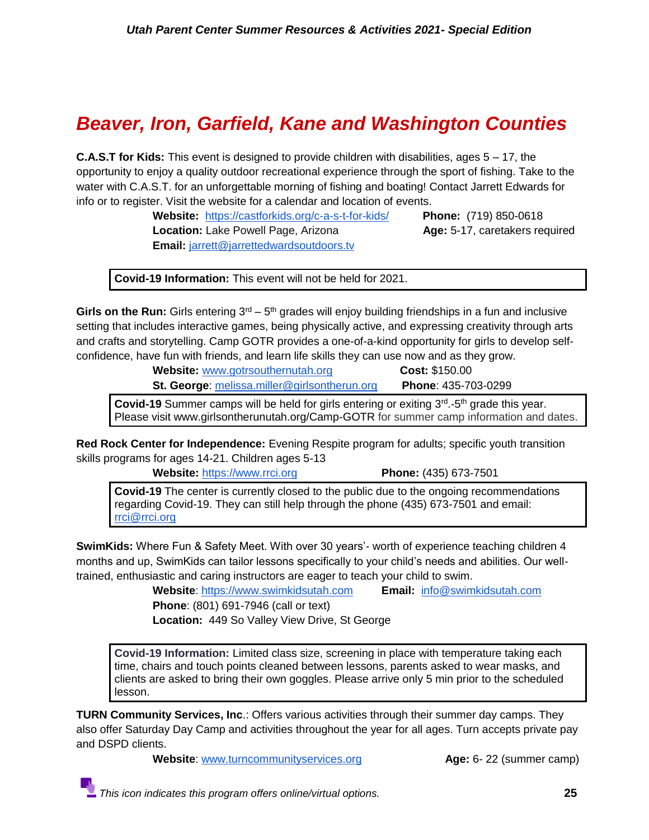## <span id="page-24-0"></span>*Beaver, Iron, Garfield, Kane and Washington Counties*

**C.A.S.T for Kids:** This event is designed to provide children with disabilities, ages 5 – 17, the opportunity to enjoy a quality outdoor recreational experience through the sport of fishing. Take to the water with C.A.S.T. for an unforgettable morning of fishing and boating! Contact Jarrett Edwards for info or to register. Visit the website for a calendar and location of events.

> **Website:** <https://castforkids.org/c-a-s-t-for-kids/>**Phone:** (719) 850-0618 **Location:** Lake Powell Page, Arizona **Age:** 5-17, caretakers required **Email:** [jarrett@jarrettedwardsoutdoors.tv](mailto:jarrett@jarrettedwardsoutdoors.tv)

**Covid-19 Information:** This event will not be held for 2021.

Girls on the Run: Girls entering  $3<sup>rd</sup> - 5<sup>th</sup>$  grades will enjoy building friendships in a fun and inclusive setting that includes interactive games, being physically active, and expressing creativity through arts and crafts and storytelling. Camp GOTR provides a one-of-a-kind opportunity for girls to develop selfconfidence, have fun with friends, and learn life skills they can use now and as they grow.

> **Website:** [www.gotrsouthernutah.org](http://www.gotrsouthernutah.org/) **Cost:** \$150.00 **St. George**: [melissa.miller@girlsontherun.org](mailto:melissa.miller@girlsontherun.org) **Phone**: 435-703-0299

Covid-19 Summer camps will be held for girls entering or exiting 3<sup>rd</sup>-5<sup>th</sup> grade this year. Please visit www.girlsontherunutah.org/Camp-GOTR for summer camp information and dates.

**Red Rock Center for Independence:** Evening Respite program for adults; specific youth transition skills programs for ages 14-21. Children ages 5-13

 **Website:** [https://www.rrci.org](https://www.rrci.org/) **Phone:** (435) 673-7501

**Covid-19** The center is currently closed to the public due to the ongoing recommendations regarding Covid-19. They can still help through the phone (435) 673-7501 and email: [rrci@rrci.org](mailto:rrci@rrci.org)

**SwimKids:** Where Fun & Safety Meet. With over 30 years'- worth of experience teaching children 4 months and up, SwimKids can tailor lessons specifically to your child's needs and abilities. Our welltrained, enthusiastic and caring instructors are eager to teach your child to swim.

> **Website**: [https://www.swimkidsutah.com](https://www.swimkidsutah.com/) **Email:** [info@swimkidsutah.com](mailto:info@swimkidsutah.com)  **Phone**: (801) 691-7946 (call or text)

**Location:** 449 So Valley View Drive, St George

**Covid-19 Information:** Limited class size, screening in place with temperature taking each time, chairs and touch points cleaned between lessons, parents asked to wear masks, and clients are asked to bring their own goggles. Please arrive only 5 min prior to the scheduled lesson.

**TURN Community Services, Inc**.: Offers various activities through their summer day camps. They also offer Saturday Day Camp and activities throughout the year for all ages. Turn accepts private pay and DSPD clients.

**Website:** [www.turncommunityservices.org](http://www.turncommunityservices.org/) **Age:** 6-22 (summer camp)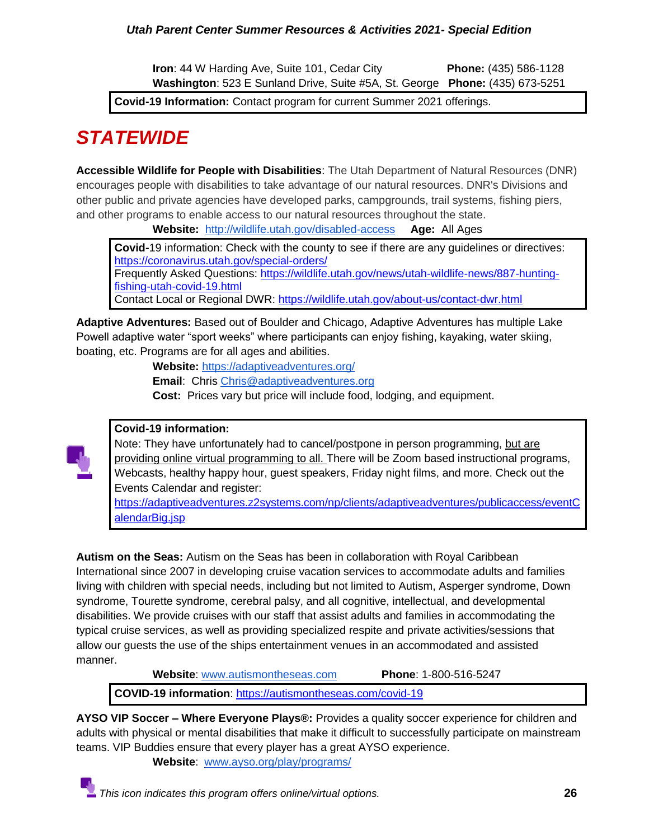**Iron**: 44 W Harding Ave, Suite 101, Cedar City **Phone:** (435) 586-1128 **Washington**: 523 E Sunland Drive, Suite #5A, St. George **Phone:** (435) 673-5251

**Covid-19 Information:** Contact program for current Summer 2021 offerings.

## <span id="page-25-0"></span>*STATEWIDE*

**Accessible Wildlife for People with Disabilities**: The Utah Department of Natural Resources (DNR) encourages people with disabilities to take advantage of our natural resources. DNR's Divisions and other public and private agencies have developed parks, campgrounds, trail systems, fishing piers, and other programs to enable access to our natural resources throughout the state.

**Website:** <http://wildlife.utah.gov/disabled-access> **Age:** All Ages

**Covid-**19 information: Check with the county to see if there are any guidelines or directives[:](https://coronavirus.utah.gov/special-orders/) <https://coronavirus.utah.gov/special-orders/> Frequently Asked Questions: [https://wildlife.utah.gov/news/utah-wildlife-news/887-hunting-](https://wildlife.utah.gov/news/utah-wildlife-news/887-hunting-fishing-utah-covid-19.html)

[fishing-utah-covid-19.html](https://wildlife.utah.gov/news/utah-wildlife-news/887-hunting-fishing-utah-covid-19.html) Contact Local or Regional DWR:<https://wildlife.utah.gov/about-us/contact-dwr.html>

**Adaptive Adventures:** Based out of Boulder and Chicago, Adaptive Adventures has multiple Lake Powell adaptive water "sport weeks" where participants can enjoy fishing, kayaking, water skiing, boating, etc. Programs are for all ages and abilities.

**Website:** <https://adaptiveadventures.org/>

**Email**: Chris [Chris@adaptiveadventures.org](mailto:Chris@adaptiveadventures.org)

**Cost:** Prices vary but price will include food, lodging, and equipment.

## **Covid-19 information:**

Note: They have unfortunately had to cancel/postpone in person programming, but are providing online virtual programming to all. There will be Zoom based instructional programs, Webcasts, healthy happy hour, guest speakers, Friday night films, and more. Check out the Events Calendar and register[:](https://adaptiveadventures.z2systems.com/np/clients/adaptiveadventures/publicaccess/eventCalendarBig.jsp)

[https://adaptiveadventures.z2systems.com/np/clients/adaptiveadventures/publicaccess/eventC](https://adaptiveadventures.z2systems.com/np/clients/adaptiveadventures/publicaccess/eventCalendarBig.jsp) [alendarBig.jsp](https://adaptiveadventures.z2systems.com/np/clients/adaptiveadventures/publicaccess/eventCalendarBig.jsp)

**Autism on the Seas:** Autism on the Seas has been in collaboration with Royal Caribbean International since 2007 in developing cruise vacation services to accommodate adults and families living with children with special needs, including but not limited to Autism, Asperger syndrome, Down syndrome, Tourette syndrome, cerebral palsy, and all cognitive, intellectual, and developmental disabilities. We provide cruises with our staff that assist adults and families in accommodating the typical cruise services, as well as providing specialized respite and private activities/sessions that allow our guests the use of the ships entertainment venues in an accommodated and assisted manner.

**Website**: [www.autismontheseas.com](http://www.autismontheseas.com/) **Phone**: 1-800-516-5247

**COVID-19 information**:<https://autismontheseas.com/covid-19>

**AYSO VIP Soccer – Where Everyone Plays®:** Provides a quality soccer experience for children and adults with physical or mental disabilities that make it difficult to successfully participate on mainstream teams. VIP Buddies ensure that every player has a great AYSO experience.

**Website**: [www.ayso.org/play/programs/](http://www.ayso.org/play/programs/)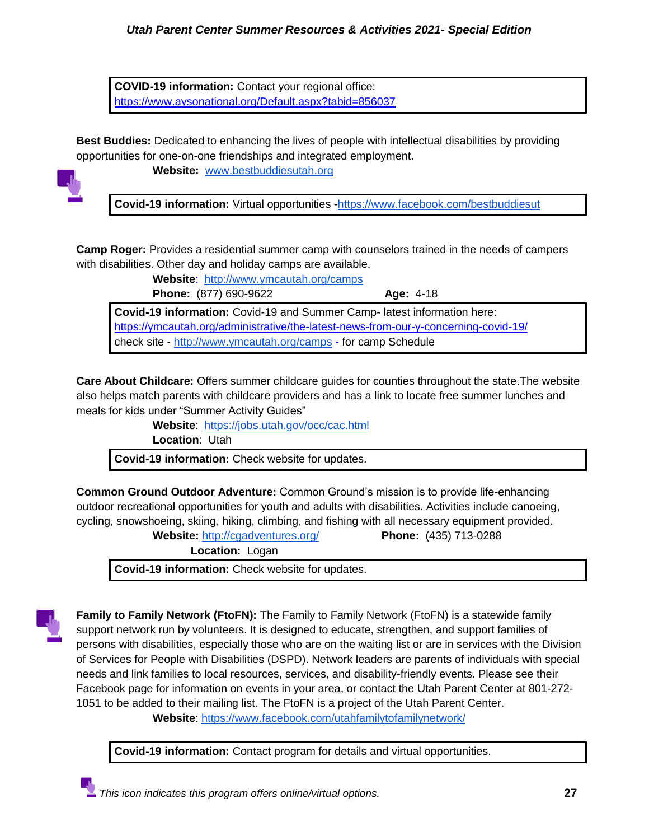**COVID-19 information:** Contact your regional office[:](https://www.aysonational.org/Default.aspx?tabid=856037) <https://www.aysonational.org/Default.aspx?tabid=856037>

**Best Buddies:** Dedicated to enhancing the lives of people with intellectual disabilities by providing opportunities for one-on-one friendships and integrated employment.



**Website:** [www.bestbuddiesutah.org](http://www.bestbuddiesutah.org/)

**Covid-19 information:** Virtual opportunities [-https://www.facebook.com/bestbuddiesut](https://www.facebook.com/bestbuddiesut)

**Camp Roger:** Provides a residential summer camp with counselors trained in the needs of campers with disabilities. Other day and holiday camps are available.

> **Website**:<http://www.ymcautah.org/camps> **Phone:** (877) 690-9622 **Age:** 4-18

**Covid-19 information:** Covid-19 and Summer Camp- latest information here: <https://ymcautah.org/administrative/the-latest-news-from-our-y-concerning-covid-19/> check site - <http://www.ymcautah.org/camps> - for camp Schedule

**Care About Childcare:** Offers summer childcare guides for counties throughout the state.The website also helps match parents with childcare providers and has a link to locate free summer lunches and meals for kids under "Summer Activity Guides"

**Website**: <https://jobs.utah.gov/occ/cac.html>

**Location**: Utah

**Covid-19 information:** Check website for updates.

**Common Ground Outdoor Adventure:** Common Ground's mission is to provide life-enhancing outdoor recreational opportunities for youth and adults with disabilities. Activities include canoeing, cycling, snowshoeing, skiing, hiking, climbing, and fishing with all necessary equipment provided.

**Website:** <http://cgadventures.org/> **Phone:** (435) 713-0288

**Location:** Logan

**Covid-19 information:** Check website for updates.



**Family to Family Network (FtoFN):** The Family to Family Network (FtoFN) is a statewide family support network run by volunteers. It is designed to educate, strengthen, and support families of persons with disabilities, especially those who are on the waiting list or are in services with the Division of Services for People with Disabilities (DSPD). Network leaders are parents of individuals with special needs and link families to local resources, services, and disability-friendly events. Please see their Facebook page for information on events in your area, or contact the Utah Parent Center at 801-272- 1051 to be added to their mailing list. The FtoFN is a project of the Utah Parent Center.

**Website**:<https://www.facebook.com/utahfamilytofamilynetwork/>

**Covid-19 information:** Contact program for details and virtual opportunities.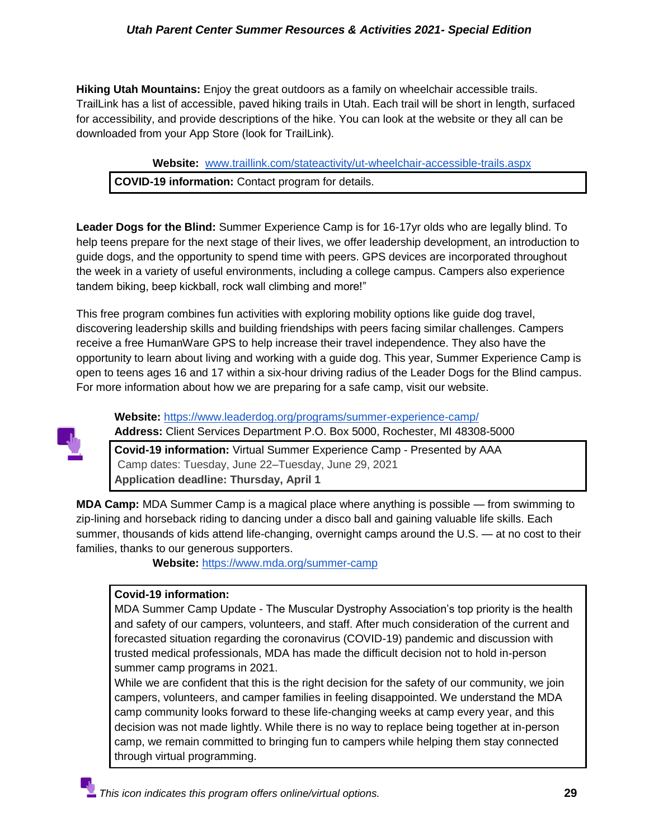**Hiking Utah Mountains:** Enjoy the great outdoors as a family on wheelchair accessible trails. TrailLink has a list of accessible, paved hiking trails in Utah. Each trail will be short in length, surfaced for accessibility, and provide descriptions of the hike. You can look at the website or they all can be downloaded from your App Store (look for TrailLink).

**Website:** [www.traillink.com/stateactivity/ut-wheelchair-accessible-trails.aspx](http://www.traillink.com/stateactivity/ut-wheelchair-accessible-trails.aspx) **COVID-19 information:** Contact program for details.

**Leader Dogs for the Blind:** Summer Experience Camp is for 16-17yr olds who are legally blind. To help teens prepare for the next stage of their lives, we offer leadership development, an introduction to guide dogs, and the opportunity to spend time with peers. GPS devices are incorporated throughout the week in a variety of useful environments, including a college campus. Campers also experience tandem biking, beep kickball, rock wall climbing and more!"

This free program combines fun activities with exploring mobility options like guide dog travel, discovering leadership skills and building friendships with peers facing similar challenges. Campers receive a free HumanWare GPS to help increase their travel independence. They also have the opportunity to learn about living and working with a guide dog. This year, Summer Experience Camp is open to teens ages 16 and 17 within a six-hour driving radius of the Leader Dogs for the Blind campus. For more information about how we are preparing for a safe camp, visit our website.



**Website:** <https://www.leaderdog.org/programs/summer-experience-camp/> **Address:** Client Services Department P.O. Box 5000, Rochester, MI 48308-5000

**Covid-19 information:** Virtual Summer Experience Camp - Presented by AAA Camp dates: Tuesday, June 22–Tuesday, June 29, 2021 **Application deadline: Thursday, April 1**

**MDA Camp:** MDA Summer Camp is a magical place where anything is possible — from swimming to zip-lining and horseback riding to dancing under a disco ball and gaining valuable life skills. Each summer, thousands of kids attend life-changing, overnight camps around the U.S. — at no cost to their families, thanks to our generous supporters.

**Website:** <https://www.mda.org/summer-camp>

## **Covid-19 information:**

MDA Summer Camp Update - The Muscular Dystrophy Association's top priority is the health and safety of our campers, volunteers, and staff. After much consideration of the current and forecasted situation regarding the coronavirus (COVID-19) pandemic and discussion with trusted medical professionals, MDA has made the difficult decision not to hold in-person summer camp programs in 2021.

While we are confident that this is the right decision for the safety of our community, we join campers, volunteers, and camper families in feeling disappointed. We understand the MDA camp community looks forward to these life-changing weeks at camp every year, and this decision was not made lightly. While there is no way to replace being together at in-person camp, we remain committed to bringing fun to campers while helping them stay connected through virtual programming.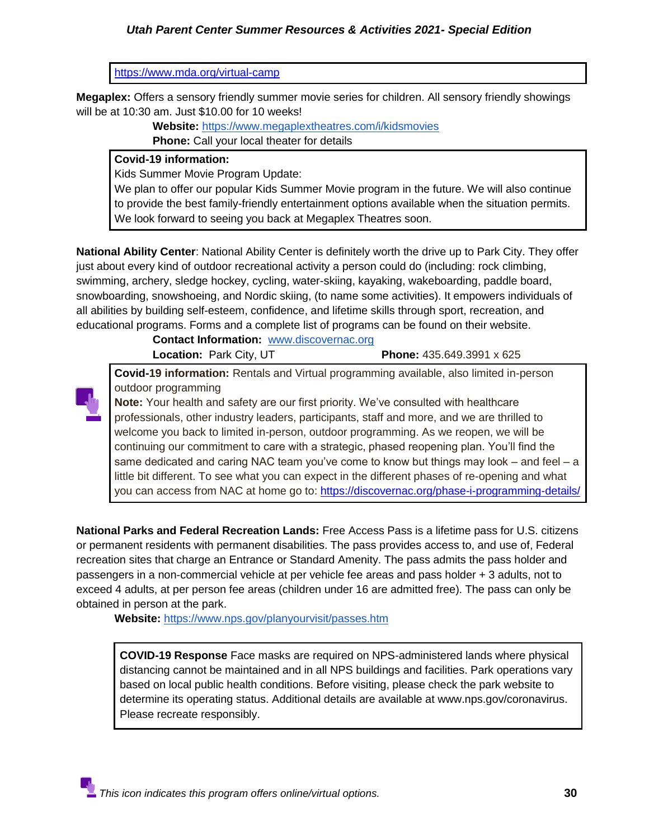#### <https://www.mda.org/virtual-camp>

**Megaplex:** Offers a sensory friendly summer movie series for children. All sensory friendly showings will be at 10:30 am. Just \$10.00 for 10 weeks!

> **Website:** <https://www.megaplextheatres.com/i/kidsmovies> **Phone:** Call your local theater for details

#### **Covid-19 information:**

Kids Summer Movie Program Update:

We plan to offer our popular Kids Summer Movie program in the future. We will also continue to provide the best family-friendly entertainment options available when the situation permits. We look forward to seeing you back at Megaplex Theatres soon.

**National Ability Center**: National Ability Center is definitely worth the drive up to Park City. They offer just about every kind of outdoor recreational activity a person could do (including: rock climbing, swimming, archery, sledge hockey, cycling, water-skiing, kayaking, wakeboarding, paddle board, snowboarding, snowshoeing, and Nordic skiing, (to name some activities). It empowers individuals of all abilities by building self-esteem, confidence, and lifetime skills through sport, recreation, and educational programs. Forms and a complete list of programs can be found on their website.

> **Contact Information:** [www.discovernac.org](http://www.discovernac.org/) **Location:** Park City, UT **Phone:** 435.649.3991 x 625

**Covid-19 information:** Rentals and Virtual programming available, also limited in-person outdoor programming



**Note:** Your health and safety are our first priority. We've consulted with healthcare professionals, other industry leaders, participants, staff and more, and we are thrilled to welcome you back to limited in-person, outdoor programming. As we reopen, we will be continuing our commitment to care with a strategic, phased reopening plan. You'll find the same dedicated and caring NAC team you've come to know but things may look  $-$  and feel  $-$  a little bit different. To see what you can expect in the different phases of re-opening and what you can access from NAC at home go to[:](https://discovernac.org/phase-i-programming-details/) <https://discovernac.org/phase-i-programming-details/>

**National Parks and Federal Recreation Lands:** Free Access Pass is a lifetime pass for U.S. citizens or permanent residents with permanent disabilities. The pass provides access to, and use of, Federal recreation sites that charge an Entrance or Standard Amenity. The pass admits the pass holder and passengers in a non-commercial vehicle at per vehicle fee areas and pass holder + 3 adults, not to exceed 4 adults, at per person fee areas (children under 16 are admitted free). The pass can only be obtained in person at the park.

**Website:** <https://www.nps.gov/planyourvisit/passes.htm>

**COVID-19 Response** Face masks are required on NPS-administered lands where physical distancing cannot be maintained and in all NPS buildings and facilities. Park operations vary based on local public health conditions. Before visiting, please check the park website to determine its operating status. Additional details are available at www.nps.gov/coronavirus. Please recreate responsibly.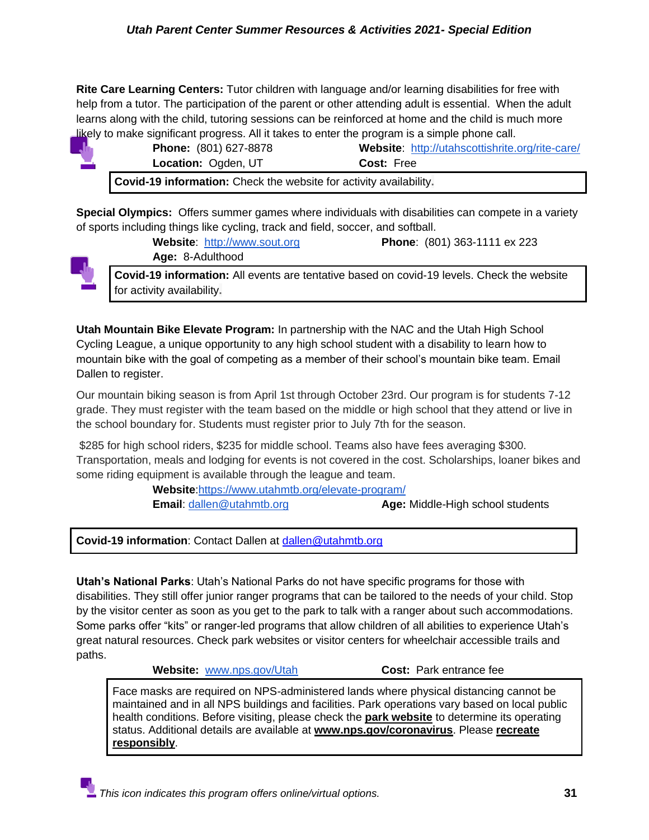**Rite Care Learning Centers:** Tutor children with language and/or learning disabilities for free with help from a tutor. The participation of the parent or other attending adult is essential. When the adult learns along with the child, tutoring sessions can be reinforced at home and the child is much more likely to make significant progress. All it takes to enter the program is a simple phone call.

| <b>Phone:</b> (801) 627-8878                                       | Website: http://utahscottishrite.org/rite-care/ |
|--------------------------------------------------------------------|-------------------------------------------------|
| <b>Location: Ogden, UT</b>                                         | <b>Cost: Free</b>                               |
| Covid-19 information: Check the website for activity availability. |                                                 |

**Special Olympics:** Offers summer games where individuals with disabilities can compete in a variety of sports including things like cycling, track and field, soccer, and softball.



**Age:** 8-Adulthood **Covid-19 information:** All events are tentative based on covid-19 levels. Check the website for activity availability**.**

**Website**: [http://www.sout.org](http://www.sout.org/) **Phone**: (801) 363-1111 ex 223

**Utah Mountain Bike Elevate Program:** In partnership with the NAC and the Utah High School Cycling League, a unique opportunity to any high school student with a disability to learn how to mountain bike with the goal of competing as a member of their school's mountain bike team. Email Dallen to register.

Our mountain biking season is from April 1st through October 23rd. Our program is for students 7-12 grade. They must register with the team based on the middle or high school that they attend or live in the school boundary for. Students must register prior to July 7th for the season.

\$285 for high school riders, \$235 for middle school. Teams also have fees averaging \$300. Transportation, meals and lodging for events is not covered in the cost. Scholarships, loaner bikes and some riding equipment is available through the league and team.

> **Website**[:https://www.utahmtb.org/elevate-program/](https://www.utahmtb.org/elevate-program/)  **Email**: [dallen@utahmtb.org](mailto:dallen@utahmtb.org) **Age:** Middle-High school students

**Covid-19 information**: Contact Dallen at [dallen@utahmtb.org](mailto:dallen@utahmtb.org)

**Utah's National Parks**: Utah's National Parks do not have specific programs for those with disabilities. They still offer junior ranger programs that can be tailored to the needs of your child. Stop by the visitor center as soon as you get to the park to talk with a ranger about such accommodations. Some parks offer "kits" or ranger-led programs that allow children of all abilities to experience Utah's great natural resources. Check park websites or visitor centers for wheelchair accessible trails and paths.

**Website:** [www.nps.gov/Utah](http://www.nps.gov/Utah) **Cost:** Park entrance fee

Face masks are required on NPS-administered lands where physical distancing cannot be maintained and in all NPS buildings and facilities. Park operations vary based on local public health conditions. Before visiting, please check the **[park website](https://www.nps.gov/findapark/index.htm)** to determine its operating status. Additional details are available at **[www.nps.gov/coronavirus](https://www.nps.gov/aboutus/news/public-health-update.htm)**. Please **[recreate](https://www.nps.gov/planyourvisit/recreate-responsibly.htm)  [responsibly](https://www.nps.gov/planyourvisit/recreate-responsibly.htm)**.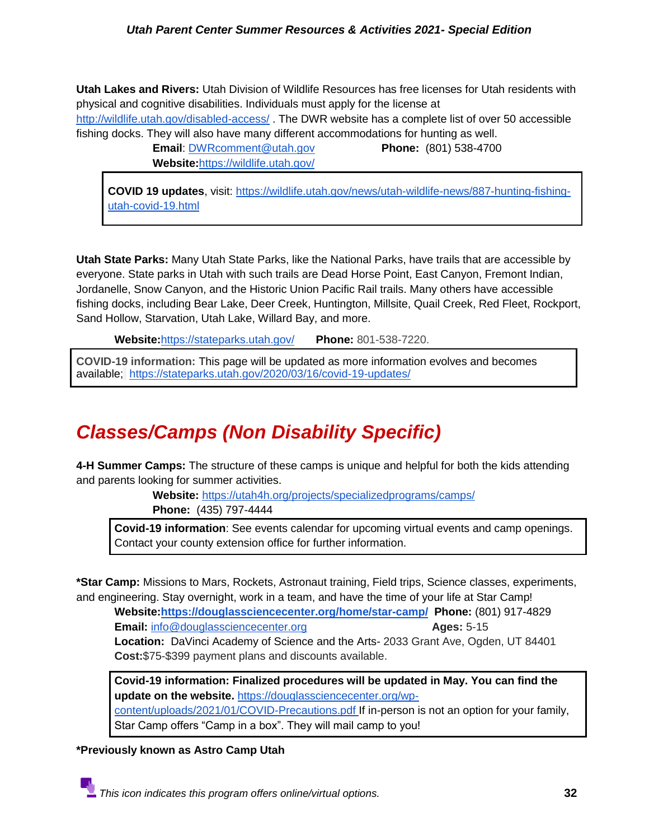**Utah Lakes and Rivers:** Utah Division of Wildlife Resources has free licenses for Utah residents with physical and cognitive disabilities. Individuals must apply for the license at <http://wildlife.utah.gov/disabled-access/> . The DWR website has a complete list of over 50 accessible fishing docks. They will also have many different accommodations for hunting as well.

**Email**: [DWRcomment@utah.gov](mailto:DWRcomment@utah.gov) **Phone:** (801) 538-4700 **Website:**<https://wildlife.utah.gov/>

**COVID 19 updates**, visit: [https://wildlife.utah.gov/news/utah-wildlife-news/887-hunting-fishing](https://wildlife.utah.gov/news/utah-wildlife-news/887-hunting-fishing-utah-covid-19.html)[utah-covid-19.html](https://wildlife.utah.gov/news/utah-wildlife-news/887-hunting-fishing-utah-covid-19.html)

**Utah State Parks:** Many Utah State Parks, like the National Parks, have trails that are accessible by everyone. State parks in Utah with such trails are Dead Horse Point, East Canyon, Fremont Indian, Jordanelle, Snow Canyon, and the Historic Union Pacific Rail trails. Many others have accessible fishing docks, including Bear Lake, Deer Creek, Huntington, Millsite, Quail Creek, Red Fleet, Rockport, Sand Hollow, Starvation, Utah Lake, Willard Bay, and more.

**Website:**<https://stateparks.utah.gov/>**Phone:** 801-538-7220.

**COVID-19 information:** This page will be updated as more information evolves and becomes available; <https://stateparks.utah.gov/2020/03/16/covid-19-updates/>

## <span id="page-31-0"></span>*Classes/Camps (Non Disability Specific)*

**4-H Summer Camps:** The structure of these camps is unique and helpful for both the kids attending and parents looking for summer activities.

> **Website:** <https://utah4h.org/projects/specializedprograms/camps/> **Phone:** (435) 797-4444

**Covid-19 information**: See events calendar for upcoming virtual events and camp openings. Contact your county extension office for further information.

**\*Star Camp:** Missions to Mars, Rockets, Astronaut training, Field trips, Science classes, experiments, and engineering. Stay overnight, work in a team, and have the time of your life at Star Camp!

**Website[:https://douglassciencecenter.org/home/star-camp/](https://douglassciencecenter.org/home/star-camp/) Phone:** (801) 917-4829 **Email:** [info@douglassciencecenter.org](mailto:info@douglassciencecenter.org) **Ages: 5-15 Location:** DaVinci Academy of Science and the Arts- 2033 Grant Ave, Ogden, UT 84401 **Cost:**\$75-\$399 payment plans and discounts available.

**Covid-19 information: Finalized procedures will be updated in May. You can find the update on the website.** [https://douglassciencecenter.org/wp](https://douglassciencecenter.org/wp-content/uploads/2021/01/COVID-Precautions.pdf)[content/uploads/2021/01/COVID-Precautions.pdf I](https://douglassciencecenter.org/wp-content/uploads/2021/01/COVID-Precautions.pdf)f in-person is not an option for your family, Star Camp offers "Camp in a box". They will mail camp to you!

**\*Previously known as Astro Camp Utah**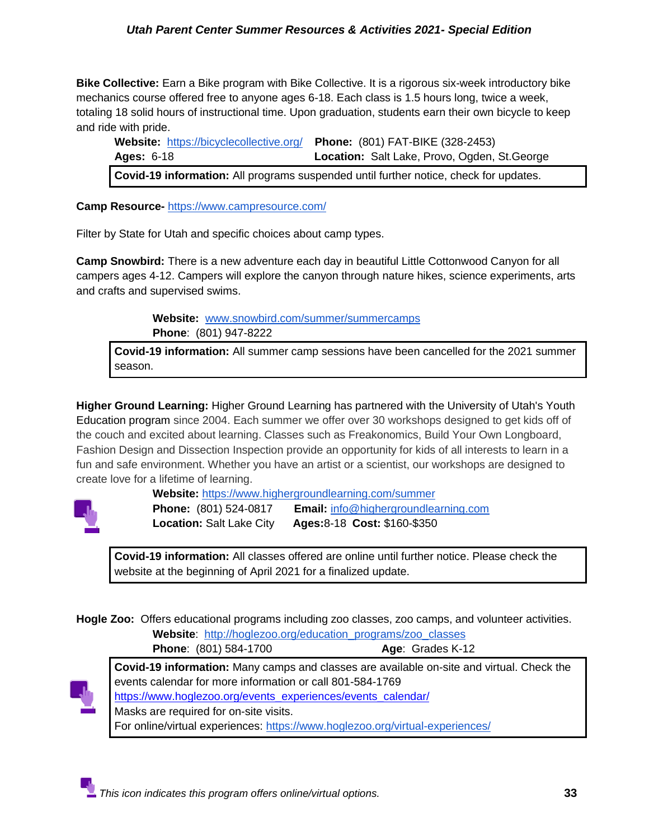**Bike Collective:** Earn a Bike program with Bike Collective. It is a rigorous six-week introductory bike mechanics course offered free to anyone ages 6-18. Each class is 1.5 hours long, twice a week, totaling 18 solid hours of instructional time. Upon graduation, students earn their own bicycle to keep and ride with pride.

**Website:** <https://bicyclecollective.org/> **Phone:** (801) FAT-BIKE (328-2453) **Ages:** 6-18 **Location:** Salt Lake, Provo, Ogden, St.George **Covid-19 information:** All programs suspended until further notice, check for updates.

**Camp Resource-** <https://www.campresource.com/>

Filter by State for Utah and specific choices about camp types.

**Camp Snowbird:** There is a new adventure each day in beautiful Little Cottonwood Canyon for all campers ages 4-12. Campers will explore the canyon through nature hikes, science experiments, arts and crafts and supervised swims.

> **Website:** [www.snowbird.com/summer/summercamps](http://www.snowbird.com/summer/summercamps)  **Phone**: (801) 947-8222

**Covid-19 information:** All summer camp sessions have been cancelled for the 2021 summer season.

**Higher Ground Learning:** Higher Ground Learning has partnered with [the University of Utah's Youth](http://continue.utah.edu/search/advanced?s=HIGHER+GR&show=50)  [Education program](http://continue.utah.edu/search/advanced?s=HIGHER+GR&show=50) since 2004. Each summer we offer over 30 workshops designed to get kids off of the couch and excited about learning. Classes such as Freakonomics, Build Your Own Longboard, Fashion Design and Dissection Inspection provide an opportunity for kids of all interests to learn in a fun and safe environment. Whether you have an artist or a scientist, our workshops are designed to create love for a lifetime of learning.



**Website:** <https://www.highergroundlearning.com/summer>

**Phone:** (801) 524-0817 **Email:** [info@highergroundlearning.com](mailto:info@highergroundlearning.com) **Location:** Salt Lake City **Ages:**8-18 **Cost:** \$160-\$350

**Covid-19 information:** All classes offered are online until further notice. Please check the website at the beginning of April 2021 for a finalized update.

**Hogle Zoo:** Offers educational programs including zoo classes, zoo camps, and volunteer activities. **Website**: [http://hoglezoo.org/education\\_programs/zoo\\_classes](http://hoglezoo.org/education_programs/zoo_classes)

**Phone**: (801) 584-1700 **Age**: Grades K-12



**Covid-19 information:** Many camps and classes are available on-site and virtual. Check the events calendar for more information or call 801-584-1769 [https://www.hoglezoo.org/events\\_experiences/events\\_calendar/](https://www.hoglezoo.org/events_experiences/events_calendar/) Masks are required for on-site visits. For online/virtual experiences:<https://www.hoglezoo.org/virtual-experiences/>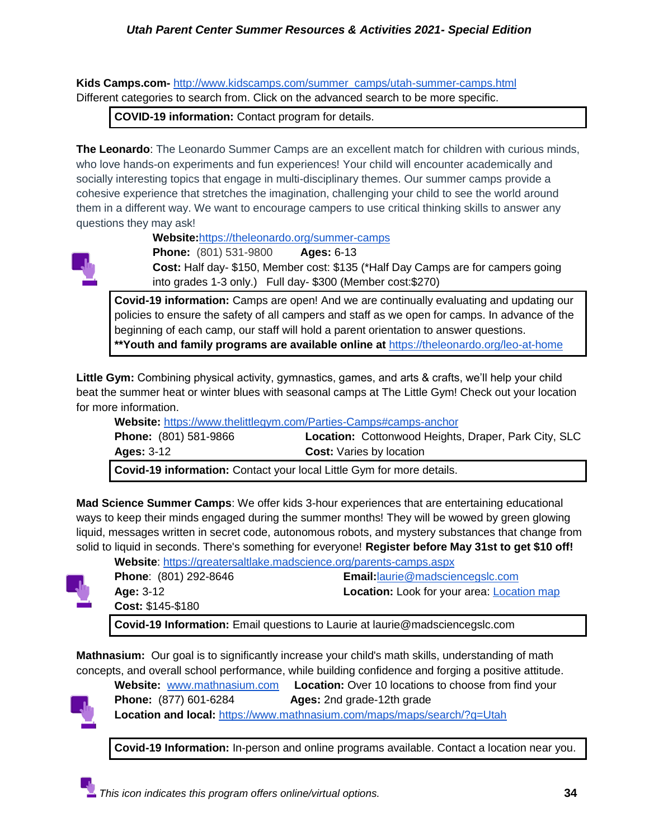**Kids Camps.com-** [http://www.kidscamps.com/summer\\_camps/utah-summer-camps.html](http://www.kidscamps.com/summer_camps/utah-summer-camps.html) Different categories to search from. Click on the advanced search to be more specific.

**COVID-19 information:** Contact program for details.

**The Leonardo**: The Leonardo Summer Camps are an excellent match for children with curious minds, who love hands-on experiments and fun experiences! Your child will encounter academically and socially interesting topics that engage in multi-disciplinary themes. Our summer camps provide a cohesive experience that stretches the imagination, challenging your child to see the world around them in a different way. We want to encourage campers to use critical thinking skills to answer any questions they may ask!

**Website:**<https://theleonardo.org/summer-camps>



**Phone:** (801) 531-9800 **Ages:** 6-13 **Cost:** Half day- \$150, Member cost: \$135 (\*Half Day Camps are for campers going into grades 1-3 only.) Full day- \$300 (Member cost:\$270)

**Covid-19 information:** Camps are open! And we are continually evaluating and updating our policies to ensure the safety of all campers and staff as we open for camps. In advance of the beginning of each camp, our staff will hold a parent orientation to answer questions. **\*\*Youth and family programs are available online at** <https://theleonardo.org/leo-at-home>

**Little Gym:** Combining physical activity, gymnastics, games, and arts & crafts, we'll help your child beat the summer heat or winter blues with seasonal camps at The Little Gym! Check out your location for more information.

**Website:** <https://www.thelittlegym.com/Parties-Camps#camps-anchor>

|                              | Covid 10 information: Contact vour local Little Cym for more details |
|------------------------------|----------------------------------------------------------------------|
| Ages: $3-12$                 | <b>Cost:</b> Varies by location                                      |
| <b>Phone:</b> (801) 581-9866 | <b>Location:</b> Cottonwood Heights, Draper, Park City, SLC          |

**Covid-19 information:** Contact your local Little Gym for more details.

**Mad Science Summer Camps**: We offer kids 3-hour experiences that are entertaining educational ways to keep their minds engaged during the summer months! They will be wowed by green glowing liquid, messages written in secret code, autonomous robots, and mystery substances that change from solid to liquid in seconds. There's something for everyone! **Register before May 31st to get \$10 off!**



**Website**:<https://greatersaltlake.madscience.org/parents-camps.aspx> **Phone**: (801) 292-8646 **Email:**[laurie@madsciencegslc.com](mailto:laurie@madsciencegslc.com) **Age:** 3-12 **Location:** Look for your area: [Location map](https://greatersaltlake.madscience.org/parents-camps-places.aspx) **Cost:** \$145-\$180

**Covid-19 Information:** Email questions to Laurie at laurie@madsciencegslc.com

**Mathnasium:** Our goal is to significantly increase your child's math skills, understanding of math concepts, and overall school performance, while building confidence and forging a positive attitude.



**Website:** [www.mathnasium.com](http://www.mathnasium.com/) **Location:** Over 10 locations to choose from find your **Phone:** (877) 601-6284 **Ages:** 2nd grade-12th grade

**Location and local:** <https://www.mathnasium.com/maps/maps/search/?q=Utah>

**Covid-19 Information:** In-person and online programs available. Contact a location near you.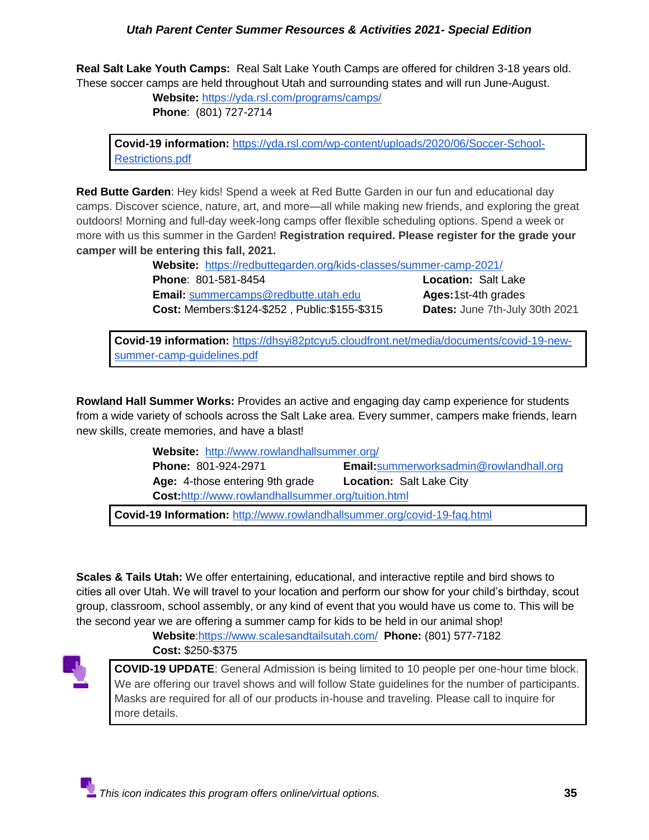**Real Salt Lake Youth Camps:** Real Salt Lake Youth Camps are offered for children 3-18 years old. These soccer camps are held throughout Utah and surrounding states and will run June-August.

**Website:** <https://yda.rsl.com/programs/camps/>

**Phone**: (801) 727-2714

**Covid-19 information:** [https://yda.rsl.com/wp-content/uploads/2020/06/Soccer-School-](https://yda.rsl.com/wp-content/uploads/2020/06/Soccer-School-Restrictions.pdf)[Restrictions.pdf](https://yda.rsl.com/wp-content/uploads/2020/06/Soccer-School-Restrictions.pdf)

**Red Butte Garden**: Hey kids! Spend a week at Red Butte Garden in our fun and educational day camps. Discover science, nature, art, and more—all while making new friends, and exploring the great outdoors! Morning and full-day week-long camps offer flexible scheduling options. Spend a week or more with us this summer in the Garden! **Registration required. Please register for the grade your camper will be entering this fall, 2021.** 

> **Website:** <https://redbuttegarden.org/kids-classes/summer-camp-2021/> **Phone**: 801-581-8454 **Location:** Salt Lake **Email:** [summercamps@redbutte.utah.edu](mailto:summercamps@redbutte.utah.edu) **Ages:**1st-4th grades **Cost:** Members:\$124-\$252 , Public:\$155-\$315 **Dates:** June 7th-July 30th 2021

**Covid-19 information:** [https://dhsyi82ptcyu5.cloudfront.net/media/documents/covid-19-new](https://dhsyi82ptcyu5.cloudfront.net/media/documents/covid-19-new-summer-camp-guidelines.pdf)[summer-camp-guidelines.pdf](https://dhsyi82ptcyu5.cloudfront.net/media/documents/covid-19-new-summer-camp-guidelines.pdf)

**Rowland Hall Summer Works:** Provides an active and engaging day camp experience for students from a wide variety of schools across the Salt Lake area. Every summer, campers make friends, learn new skills, create memories, and have a blast!

 **Website:** <http://www.rowlandhallsummer.org/>

**Phone:** 801-924-2971 **Email:**[summerworksadmin@rowlandhall.org](mailto:summerworksadmin@rowlandhall.org)  **Age:** 4-those entering 9th grade **Location:** Salt Lake City **Cost:**<http://www.rowlandhallsummer.org/tuition.html>

**Covid-19 Information:** <http://www.rowlandhallsummer.org/covid-19-faq.html>

**Scales & Tails Utah:** We offer entertaining, educational, and interactive reptile and bird shows to cities all over Utah. We will travel to your location and perform our show for your child's birthday, scout group, classroom, school assembly, or any kind of event that you would have us come to. This will be the second year we are offering a summer camp for kids to be held in our animal shop!

**Website**[:https://www.scalesandtailsutah.com/](https://www.scalesandtailsutah.com/) **Phone:** (801) 577-7182 **Cost:** \$250-\$375



**COVID-19 UPDATE**: General Admission is being limited to 10 people per one-hour time block. We are offering our travel shows and will follow State guidelines for the number of participants. Masks are required for all of our products in-house and traveling. Please call to inquire for more details.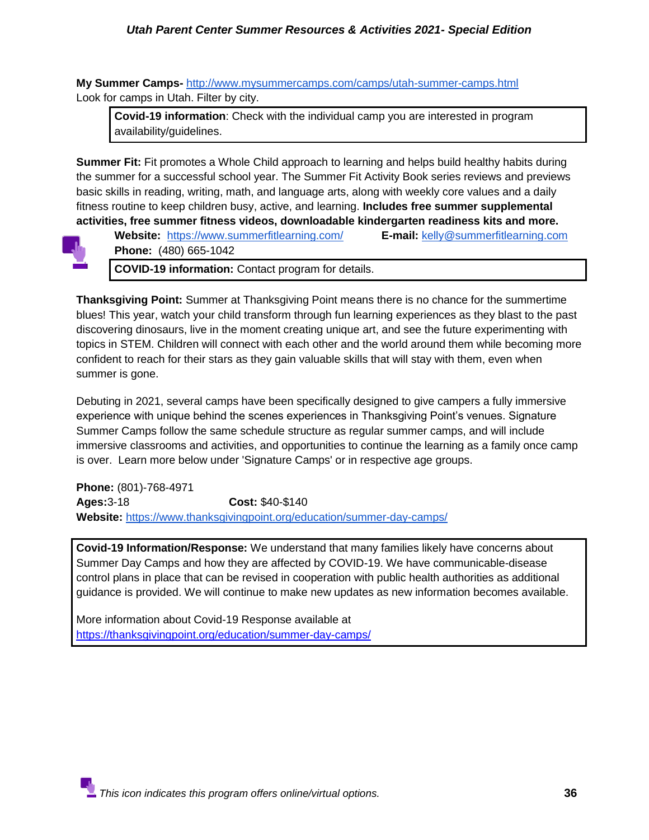**My Summer Camps-** <http://www.mysummercamps.com/camps/utah-summer-camps.html> Look for camps in Utah. Filter by city.

**Covid-19 information**: Check with the individual camp you are interested in program availability/guidelines.

**Summer Fit:** Fit promotes a Whole Child approach to learning and helps build healthy habits during the summer for a successful school year. The Summer Fit Activity Book series reviews and previews basic skills in reading, writing, math, and language arts, along with weekly core values and a daily fitness routine to keep children busy, active, and learning. **Includes free summer supplemental activities, free summer fitness videos, downloadable kindergarten readiness kits and more.** 



**Website:** <https://www.summerfitlearning.com/>**E-mail:** [kelly@summerfitlearning.com](mailto:kelly@summerfitlearning.com) **Phone:** (480) 665-1042

**COVID-19 information:** Contact program for details.

**Thanksgiving Point:** Summer at Thanksgiving Point means there is no chance for the summertime blues! This year, watch your child transform through fun learning experiences as they blast to the past discovering dinosaurs, live in the moment creating unique art, and see the future experimenting with topics in STEM. Children will connect with each other and the world around them while becoming more confident to reach for their stars as they gain valuable skills that will stay with them, even when summer is gone.

Debuting in 2021, several camps have been specifically designed to give campers a fully immersive experience with unique behind the scenes experiences in Thanksgiving Point's venues. Signature Summer Camps follow the same schedule structure as regular summer camps, and will include immersive classrooms and activities, and opportunities to continue the learning as a family once camp is over. Learn more below under 'Signature Camps' or in respective age groups.

**Phone:** (801)-768-4971 **Ages:**3-18 **Cost:** \$40-\$140 **Website:** <https://www.thanksgivingpoint.org/education/summer-day-camps/>

**Covid-19 Information/Response:** We understand that many families likely have concerns about Summer Day Camps and how they are affected by COVID-19. We have communicable-disease control plans in place that can be revised in cooperation with public health authorities as additional guidance is provided. We will continue to make new updates as new information becomes available.

More information about Covid-19 Response available at <https://thanksgivingpoint.org/education/summer-day-camps/>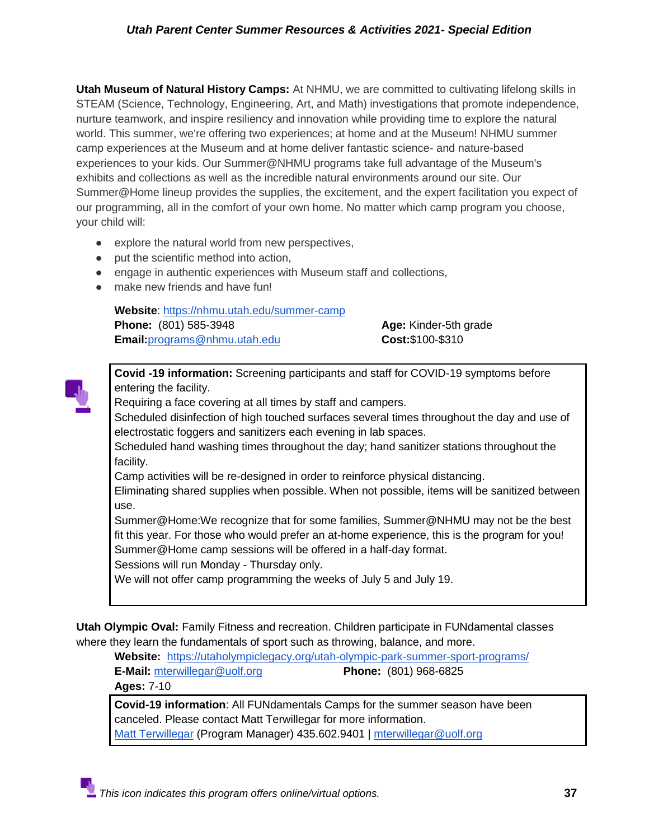**Utah Museum of Natural History Camps:** At NHMU, we are committed to cultivating lifelong skills in STEAM (Science, Technology, Engineering, Art, and Math) investigations that promote independence, nurture teamwork, and inspire resiliency and innovation while providing time to explore the natural world. This summer, we're offering two experiences; at home and at the Museum! NHMU summer camp experiences at the Museum and at home deliver fantastic science- and nature-based experiences to your kids. Our Summer@NHMU programs take full advantage of the Museum's exhibits and collections as well as the incredible natural environments around our site. Our Summer@Home lineup provides the supplies, the excitement, and the expert facilitation you expect of our programming, all in the comfort of your own home. No matter which camp program you choose, your child will:

- explore the natural world from new perspectives,
- put the scientific method into action,
- engage in authentic experiences with Museum staff and collections,
- make new friends and have fun!

**Website**:<https://nhmu.utah.edu/summer-camp> **Phone:** (801) 585-3948 **Age:** Kinder-5th grade **Email:**[programs@nhmu.utah.edu](mailto:programs@nhmu.utah.edu) **Cost:**\$100-\$310

**Covid -19 information:** Screening participants and staff for COVID-19 symptoms before entering the facility.

Requiring a face covering at all times by staff and campers.

Scheduled disinfection of high touched surfaces several times throughout the day and use of electrostatic foggers and sanitizers each evening in lab spaces.

Scheduled hand washing times throughout the day; hand sanitizer stations throughout the facility.

Camp activities will be re-designed in order to reinforce physical distancing.

Eliminating shared supplies when possible. When not possible, items will be sanitized between use.

Summer@Home:We recognize that for some families, Summer@NHMU may not be the best fit this year. For those who would prefer an at-home experience, this is the program for you! Summer@Home camp sessions will be offered in a half-day format.

Sessions will run Monday - Thursday only.

We will not offer camp programming the weeks of July 5 and July 19.

**Utah Olympic Oval:** Family Fitness and recreation. Children participate in FUNdamental classes where they learn the fundamentals of sport such as throwing, balance, and more.

**Website:** <https://utaholympiclegacy.org/utah-olympic-park-summer-sport-programs/>

**E-Mail:** [mterwillegar@uolf.org](mailto:mterwillegar@uolf.org) **Phone:** (801) 968-6825 **Ages:** 7-10

**Covid-19 information**: All FUNdamentals Camps for the summer season have been canceled. Please contact Matt Terwillegar for more information. [Matt Terwillegar](http://utaholympiclegacy.org/instructor/matt-terwillegar/) (Program Manager) 435.602.9401 | [mterwillegar@uolf.org](mailto:mterwillegar@uolf.org)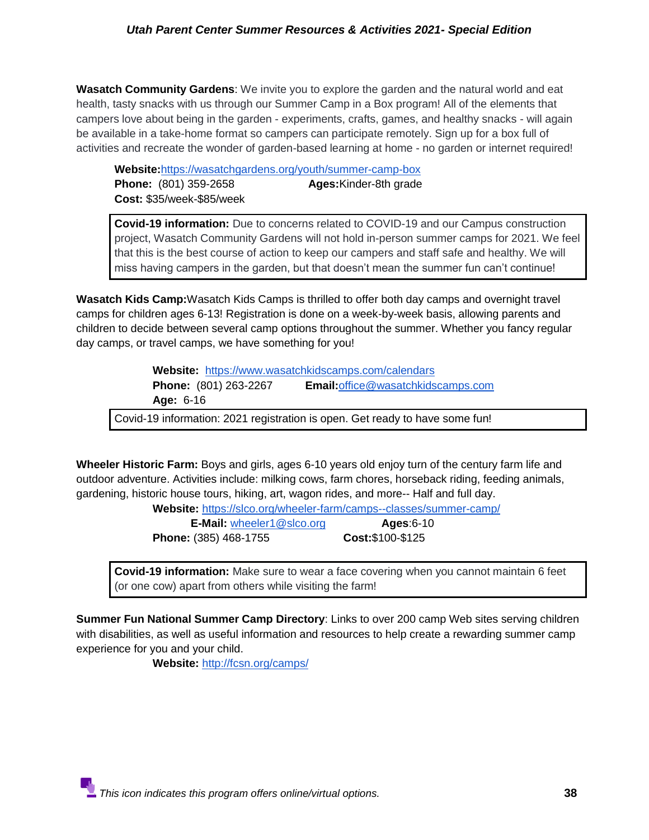**Wasatch Community Gardens**: We invite you to explore the garden and the natural world and eat health, tasty snacks with us through our Summer Camp in a Box program! All of the elements that campers love about being in the garden - experiments, crafts, games, and healthy snacks - will again be available in a take-home format so campers can participate remotely. Sign up for a box full of activities and recreate the wonder of garden-based learning at home - no garden or internet required!

**Website:**<https://wasatchgardens.org/youth/summer-camp-box> **Phone:** (801) 359-2658 **Ages:**Kinder-8th grade **Cost:** \$35/week-\$85/week

**Covid-19 information:** Due to concerns related to COVID-19 and our Campus construction project, Wasatch Community Gardens will not hold in-person summer camps for 2021. We feel that this is the best course of action to keep our campers and staff safe and healthy. We will miss having campers in the garden, but that doesn't mean the summer fun can't continue!

**Wasatch Kids Camp:**Wasatch Kids Camps is thrilled to offer both day camps and overnight travel camps for children ages 6-13! Registration is done on a week-by-week basis, allowing parents and children to decide between several camp options throughout the summer. Whether you fancy regular day camps, or travel camps, we have something for you!

> **Website:** <https://www.wasatchkidscamps.com/calendars> **Phone:** (801) 263-2267 **Email:**[office@wasatchkidscamps.com](mailto:office@wasatchkidscamps.com)  **Age:** 6-16

Covid-19 information: 2021 registration is open. Get ready to have some fun!

**Wheeler Historic Farm:** Boys and girls, ages 6-10 years old enjoy turn of the century farm life and outdoor adventure. Activities include: milking cows, farm chores, horseback riding, feeding animals, gardening, historic house tours, hiking, art, wagon rides, and more-- Half and full day.

**Website:** <https://slco.org/wheeler-farm/camps--classes/summer-camp/>

**E-Mail:** [wheeler1@slco.org](mailto:wheeler1@slco.org) **Ages**:6-10 **Phone:** (385) 468-1755 **Cost:**\$100-\$125

**Covid-19 information:** Make sure to wear a face covering when you cannot maintain 6 feet (or one cow) apart from others while visiting the farm!

**Summer Fun National Summer Camp Directory**: Links to over 200 camp Web sites serving children with disabilities, as well as useful information and resources to help create a rewarding summer camp experience for you and your child.

 **Website:** <http://fcsn.org/camps/>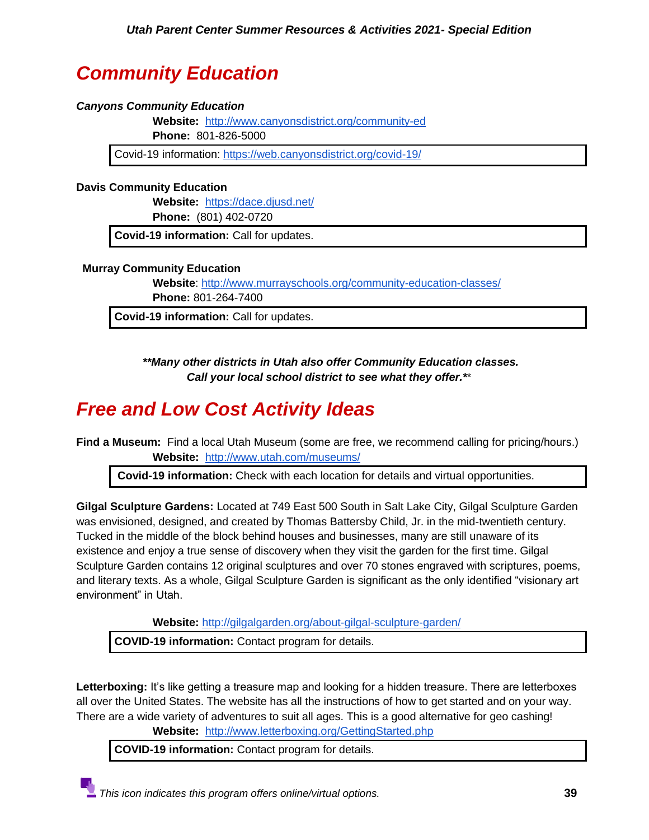## <span id="page-38-0"></span>*Community Education*

### <span id="page-38-1"></span>*Canyons Community Education*

**Website:** <http://www.canyonsdistrict.org/community-ed>

**Phone:** 801-826-5000

Covid-19 information: <https://web.canyonsdistrict.org/covid-19/>

### **Davis Community Education**

**Website:** <https://dace.djusd.net/>

**Phone:** (801) 402-0720

**Covid-19 information:** Call for updates.

#### **Murray Community Education**

**Website**:<http://www.murrayschools.org/community-education-classes/> **Phone:** 801-264-7400

**Covid-19 information:** Call for updates.

*\*\*Many other districts in Utah also offer Community Education classes. Call your local school district to see what they offer.\**\*

## <span id="page-38-2"></span>*Free and Low Cost Activity Ideas*

**Find a Museum:** Find a local Utah Museum (some are free, we recommend calling for pricing/hours.) **Website:** <http://www.utah.com/museums/>

**Covid-19 information:** Check with each location for details and virtual opportunities.

**Gilgal Sculpture Gardens:** Located at 749 East 500 South in Salt Lake City, Gilgal Sculpture Garden was envisioned, designed, and created by Thomas Battersby Child, Jr. in the mid-twentieth century. Tucked in the middle of the block behind houses and businesses, many are still unaware of its existence and enjoy a true sense of discovery when they visit the garden for the first time. Gilgal Sculpture Garden contains 12 original sculptures and over 70 stones engraved with scriptures, poems, and literary texts. As a whole, Gilgal Sculpture Garden is significant as the only identified "visionary art environment" in Utah.

**Website:** <http://gilgalgarden.org/about-gilgal-sculpture-garden/>

**COVID-19 information:** Contact program for details.

**Letterboxing:** It's like getting a treasure map and looking for a hidden treasure. There are letterboxes all over the United States. The website has all the instructions of how to get started and on your way. There are a wide variety of adventures to suit all ages. This is a good alternative for geo cashing!

**Website:** <http://www.letterboxing.org/GettingStarted.php>

**COVID-19 information:** Contact program for details.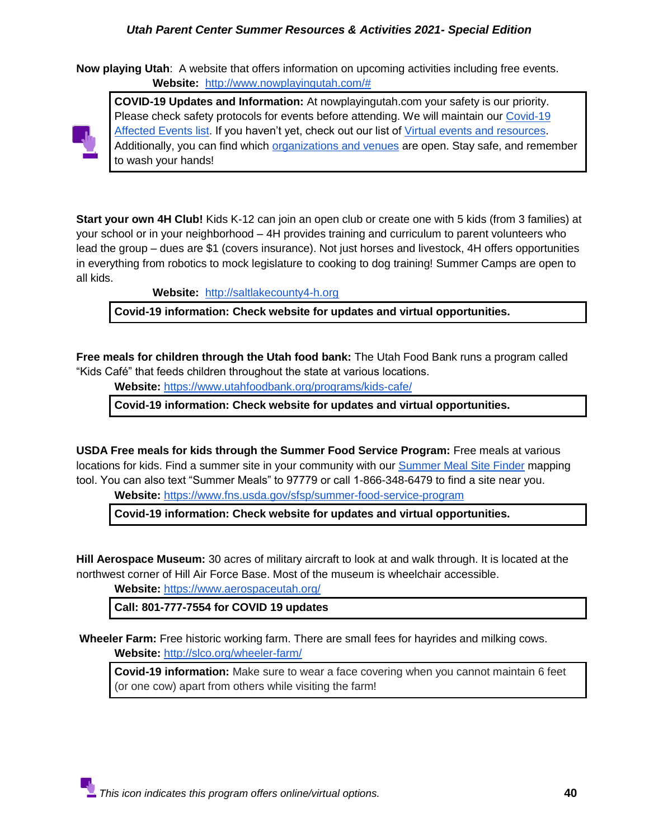**Now playing Utah**: A website that offers information on upcoming activities including free events. **Website:** [http://www.nowplayingutah.com/#](http://www.nowplayingutah.com/)



**COVID-19 Updates and Information:** At nowplayingutah.com your safety is our priority. Please check safety protocols for events before attending. We will maintain our Covid-19 [Affected Events list.](https://www.nowplayingutah.com/categories/covid19/) If you haven't yet, check out our list of [Virtual events and resources.](https://www.nowplayingutah.com/categories/virtual/) Additionally, you can find which [organizations and venues](https://www.nowplayingutah.com/categories/phased-reopening/) are open. Stay safe, and remember to wash your hands!

**Start your own 4H Club!** Kids K-12 can join an open club or create one with 5 kids (from 3 families) at your school or in your neighborhood – 4H provides training and curriculum to parent volunteers who lead the group – dues are \$1 (covers insurance). Not just horses and livestock, 4H offers opportunities in everything from robotics to mock legislature to cooking to dog training! Summer Camps are open to all kids.

**Website:** [http://saltlakecounty4-h.org](http://saltlakecounty4-h.org/)

**Covid-19 information: Check website for updates and virtual opportunities.**

**Free meals for children through the Utah food bank:** The Utah Food Bank runs a program called "Kids Café" that feeds children throughout the state at various locations.

 **Website:** <https://www.utahfoodbank.org/programs/kids-cafe/>

**Covid-19 information: Check website for updates and virtual opportunities.**

**USDA Free meals for kids through the Summer Food Service Program:** Free meals at various locations for kids. Find a summer site in your community with our [Summer Meal Site Finder](https://www.fns.usda.gov/summerfoodrocks) mapping tool. You can also text "Summer Meals" to 97779 or call 1-866-348-6479 to find a site near you.

 **Website:** <https://www.fns.usda.gov/sfsp/summer-food-service-program>

**Covid-19 information: Check website for updates and virtual opportunities.**

**Hill Aerospace Museum:** 30 acres of military aircraft to look at and walk through. It is located at the northwest corner of Hill Air Force Base. Most of the museum is wheelchair accessible.

**Website:** <https://www.aerospaceutah.org/>

**Call: 801-777-7554 for COVID 19 updates**

**Wheeler Farm:** Free historic working farm. There are small fees for hayrides and milking cows. **Website:** <http://slco.org/wheeler-farm/>

**Covid-19 information:** Make sure to wear a face covering when you cannot maintain 6 feet (or one cow) apart from others while visiting the farm!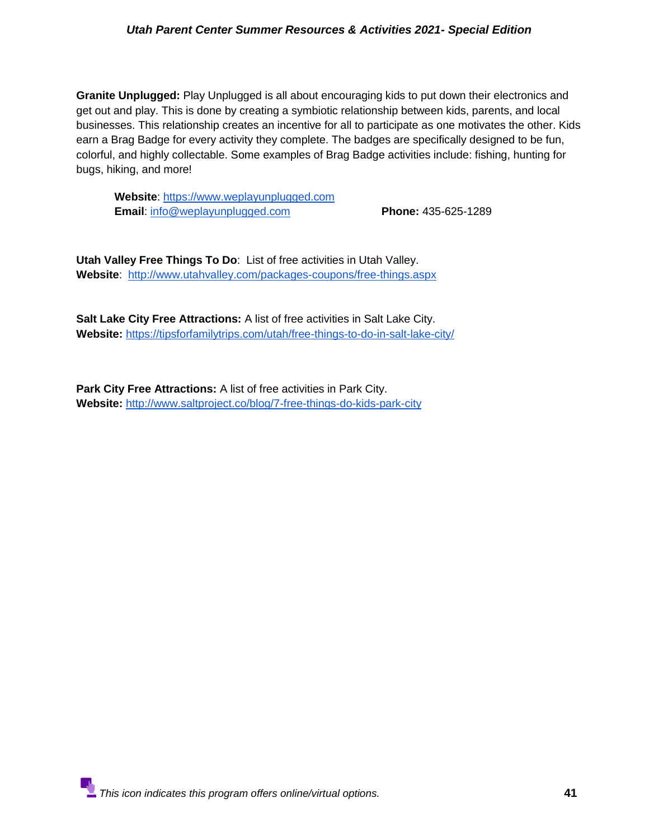**Granite Unplugged:** Play Unplugged is all about encouraging kids to put down their electronics and get out and play. This is done by creating a symbiotic relationship between kids, parents, and local businesses. This relationship creates an incentive for all to participate as one motivates the other. Kids earn a Brag Badge for every activity they complete. The badges are specifically designed to be fun, colorful, and highly collectable. Some examples of Brag Badge activities include: fishing, hunting for bugs, hiking, and more!

 **Website**: [https://www.weplayunplugged.com](https://www.weplayunplugged.com/) **Email**: [info@weplayunplugged.com](mailto:info@weplayunplugged.com) **Phone:** 435-625-1289

**Utah Valley Free Things To Do**: List of free activities in Utah Valley. **Website**: <http://www.utahvalley.com/packages-coupons/free-things.aspx>

**Salt Lake City Free Attractions:** A list of free activities in Salt Lake City. **Website:** <https://tipsforfamilytrips.com/utah/free-things-to-do-in-salt-lake-city/>

**Park City Free Attractions:** A list of free activities in Park City. **Website:** <http://www.saltproject.co/blog/7-free-things-do-kids-park-city>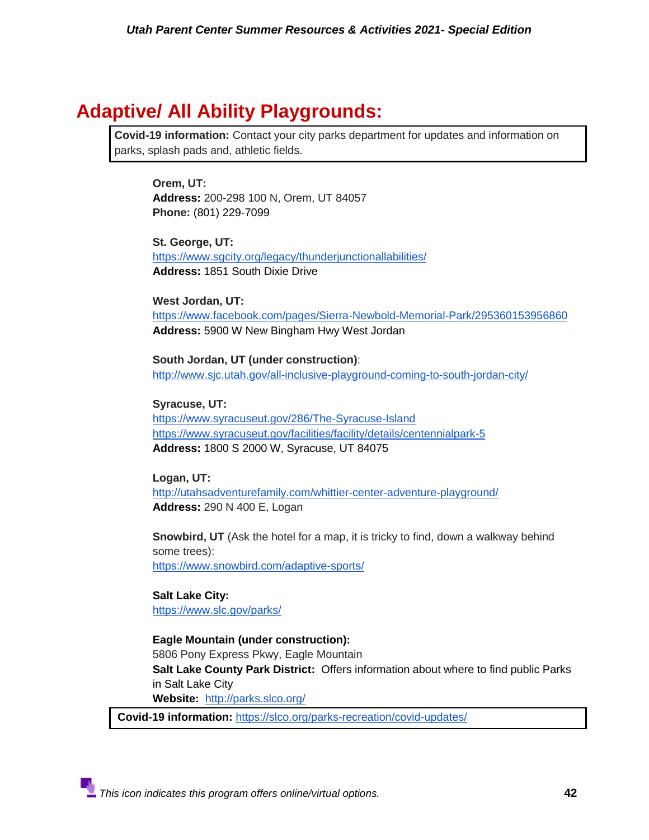## **Adaptive/ All Ability Playgrounds:**

**Covid-19 information:** Contact your city parks department for updates and information on parks, splash pads and, athletic fields.

**Orem, UT: [Address:](https://www.google.com/search?rlz=1C1GCEV_enUS845US845&q=all+together+playground+address&stick=H4sIAAAAAAAAAOPgE-LVT9c3NEw2Mig0K7e01JLNTrbSz8lPTizJzM-DM6wSU1KKUouLF7HKJ-bkKJTkp6eWZKQWKRTkJFamF-WX5qUoQFUAAE9SBsRSAAAA&ludocid=16365484700818293283&sa=X&ved=2ahUKEwiejtasl7rvAhVeJzQIHX-wDGsQ6BMwGHoECCkQAg)** 200-298 100 N, Orem, UT 84057 **Phone:** [\(801\) 229-7099](https://www.google.com/search?q=All+together+playgound+in+Orem&rlz=1C1GCEV_enUS845US845&oq=All+together+playgound+in+Orem&aqs=chrome..69i57j0i22i30l3j69i64.8983j0j4&sourceid=chrome&ie=UTF-8)

**St. George, UT:** <https://www.sgcity.org/legacy/thunderjunctionallabilities/> **Address:** 1851 South Dixie Drive

**West Jordan, UT:** <https://www.facebook.com/pages/Sierra-Newbold-Memorial-Park/295360153956860> **Address:** [5900 W New Bingham Hwy West Jordan](https://l.facebook.com/l.php?u=https%3A%2F%2Fwww.google.com%2Fmaps%2Fdir%2F%3Fapi%3D1%26destination%3D40.593655441436%252C-112.03586676023%26fbclid%3DIwAR3Eqow18Hmp4awcdbnxoqXQA9mAfjfT0hi2t1b1nmEaVQhZYbwoSlZzLzo&h=AT05h3fnCD5-z8cno01fT58SNdCdHxMTljG-SxjrrkDV-1PEVC8dJFaS3TEKy6cmobjsEJqjcfoY_62GwZ9ln2CJPGrEbWxnYKLswkuyoRTCLnvqC2Umoeni_aGoG4aEqggFsg)

**South Jordan, UT (under construction)**: <http://www.sjc.utah.gov/all-inclusive-playground-coming-to-south-jordan-city/>

**Syracuse, UT:** <https://www.syracuseut.gov/286/The-Syracuse-Island> <https://www.syracuseut.gov/facilities/facility/details/centennialpark-5> **Address:** 1800 S 2000 W, Syracuse, UT 84075

**Logan, UT:** <http://utahsadventurefamily.com/whittier-center-adventure-playground/> **[Address:](https://www.google.com/search?rlz=1C1CHBF_enUS912US912&q=whittier+center+adventure+playground+logan+address&stick=H4sIAAAAAAAAAOPgE-LVT9c3NEzOiY8vqUjJ05LNTrbSz8lPTizJzM-DM6wSU1KKUouLF7EalWdklpRkphYpJKfmlQCpxJQyIKO0KFWhICexMr0ovzQvRSEnPz0xTwGqCQC2fwKnZQAAAA&ludocid=13271117828730252263&sa=X&ved=2ahUKEwjSz7zmt7rvAhWDcc0KHVd4D4EQ6BMwHXoECC8QAg)** 290 N 400 E, Logan

**Snowbird, UT** (Ask the hotel for a map, it is tricky to find, down a walkway behind some trees): <https://www.snowbird.com/adaptive-sports/>

**Salt Lake City:** <https://www.slc.gov/parks/>

**Eagle Mountain (under construction):** 

5806 Pony Express Pkwy, Eagle Mountain **Salt Lake County Park District:** Offers information about where to find public Parks in Salt Lake City **Website:** <http://parks.slco.org/>

**Covid-19 information[:](https://slco.org/parks-recreation/covid-updates/)** <https://slco.org/parks-recreation/covid-updates/>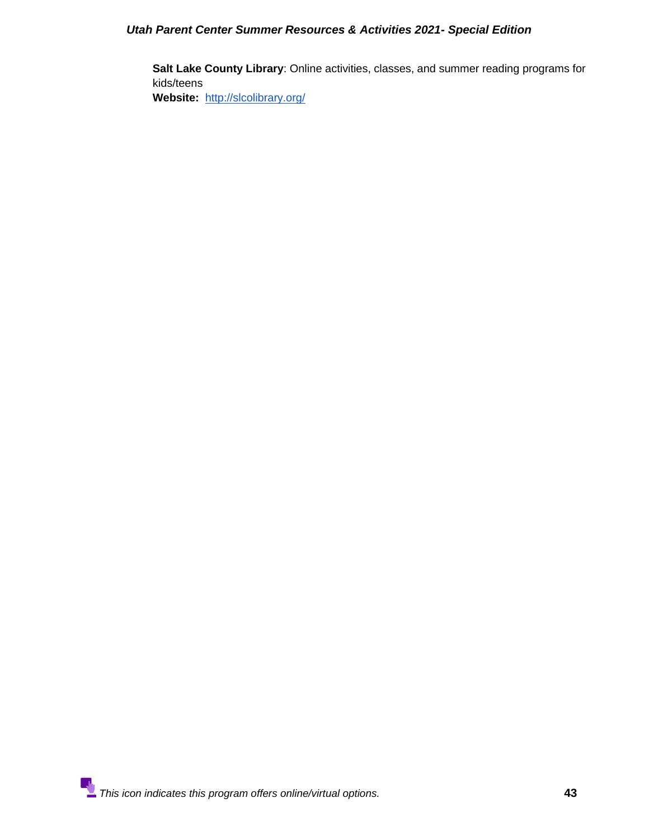**Salt Lake County Library**: Online activities, classes, and summer reading programs for kids/teens

**Website:** <http://slcolibrary.org/>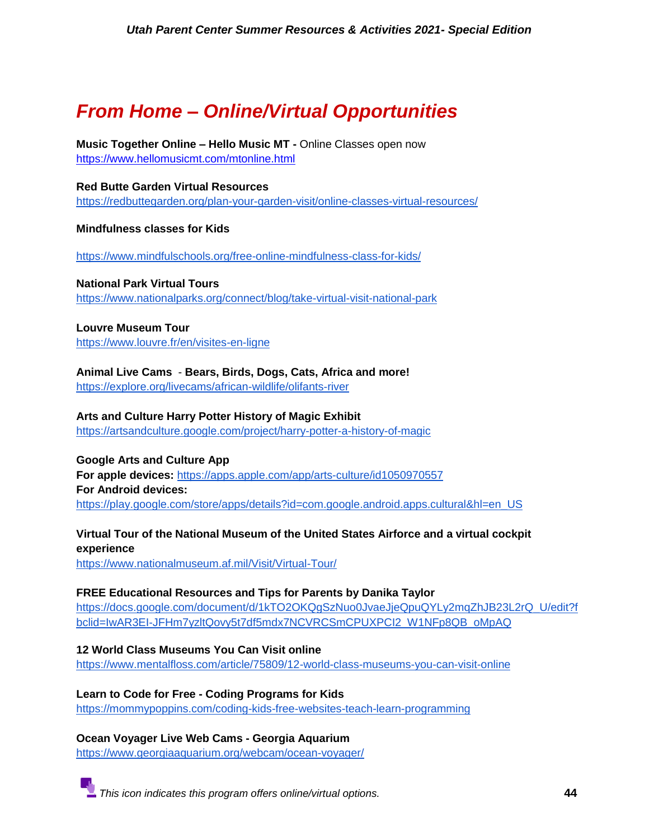## <span id="page-43-0"></span>*From Home – Online/Virtual Opportunities*

**Music Together Online – Hello Music MT -** Online Classes open now <https://www.hellomusicmt.com/mtonline.html>

**Red Butte Garden Virtual Resources** <https://redbuttegarden.org/plan-your-garden-visit/online-classes-virtual-resources/>

**Mindfulness classes for Kids** 

<https://www.mindfulschools.org/free-online-mindfulness-class-for-kids/>

**National Park Virtual Tours**  <https://www.nationalparks.org/connect/blog/take-virtual-visit-national-park>

**Louvre Museum Tour** <https://www.louvre.fr/en/visites-en-ligne>

**Animal Live Cams** - **Bears, Birds, Dogs, Cats, Africa and more!**

<https://explore.org/livecams/african-wildlife/olifants-river>

#### **Arts and Culture Harry Potter History of Magic Exhibit**

<https://artsandculture.google.com/project/harry-potter-a-history-of-magic>

**Google Arts and Culture App For apple devices:** <https://apps.apple.com/app/arts-culture/id1050970557> **For Android devices:**  [https://play.google.com/store/apps/details?id=com.google.android.apps.cultural&hl=en\\_US](https://play.google.com/store/apps/details?id=com.google.android.apps.cultural&hl=en_US)

## **Virtual Tour of the National Museum of the United States Airforce and a virtual cockpit experience**

<https://www.nationalmuseum.af.mil/Visit/Virtual-Tour/>

#### **FREE Educational Resources and Tips for Parents by Danika Taylor**

[https://docs.google.com/document/d/1kTO2OKQgSzNuo0JvaeJjeQpuQYLy2mqZhJB23L2rQ\\_U/edit?f](https://docs.google.com/document/d/1kTO2OKQgSzNuo0JvaeJjeQpuQYLy2mqZhJB23L2rQ_U/edit?fbclid=IwAR3EI-JFHm7yzltQovy5t7df5mdx7NCVRCSmCPUXPCI2_W1NFp8QB_oMpAQ) [bclid=IwAR3EI-JFHm7yzltQovy5t7df5mdx7NCVRCSmCPUXPCI2\\_W1NFp8QB\\_oMpAQ](https://docs.google.com/document/d/1kTO2OKQgSzNuo0JvaeJjeQpuQYLy2mqZhJB23L2rQ_U/edit?fbclid=IwAR3EI-JFHm7yzltQovy5t7df5mdx7NCVRCSmCPUXPCI2_W1NFp8QB_oMpAQ)

**12 World Class Museums You Can Visit online** <https://www.mentalfloss.com/article/75809/12-world-class-museums-you-can-visit-online>

**Learn to Code for Free - Coding Programs for Kids** <https://mommypoppins.com/coding-kids-free-websites-teach-learn-programming>

**Ocean Voyager Live Web Cams - Georgia Aquarium** <https://www.georgiaaquarium.org/webcam/ocean-voyager/>